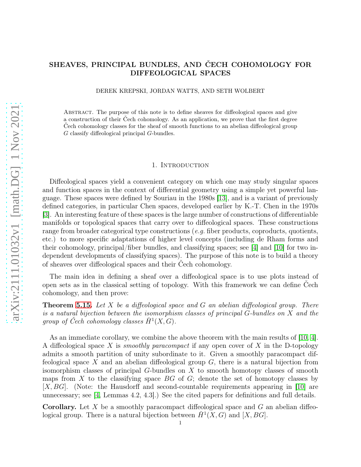# SHEAVES, PRINCIPAL BUNDLES, AND ČECH COHOMOLOGY FOR DIFFEOLOGICAL SPACES

DEREK KREPSKI, JORDAN WATTS, AND SETH WOLBERT

Abstract. The purpose of this note is to define sheaves for diffeological spaces and give a construction of their Čech cohomology. As an application, we prove that the first degree Čech cohomology classes for the sheaf of smooth functions to an abelian diffeological group G classify diffeological principal G-bundles.

### 1. INTRODUCTION

Diffeological spaces yield a convenient category on which one may study singular spaces and function spaces in the context of differential geometry using a simple yet powerful language. These spaces were defined by Souriau in the 1980s [\[13\]](#page-24-0), and is a variant of previously defined categories, in particular Chen spaces, developed earlier by K.-T. Chen in the 1970s [\[3\]](#page-23-0). An interesting feature of these spaces is the large number of constructions of differentiable manifolds or topological spaces that carry over to diffeological spaces. These constructions range from broader categorical type constructions  $(e,q)$  fiber products, coproducts, quotients, etc.) to more specific adaptations of higher level concepts (including de Rham forms and their cohomology, principal/fiber bundles, and classifying spaces; see [\[4\]](#page-23-1) and [\[10\]](#page-23-2) for two independent developments of classifying spaces). The purpose of this note is to build a theory of sheaves over diffeological spaces and their Čech cohomology.

The main idea in defining a sheaf over a diffeological space is to use plots instead of open sets as in the classical setting of topology. With this framework we can define Čech cohomology, and then prove:

**Theorem [5.15.](#page-17-0)** Let X be a diffeological space and G an abelian diffeological group. There is a natural bijection between the isomorphism classes of principal G-bundles on X and the group of Čech cohomology classes  $\check{H}^1(X,G)$ .

As an immediate corollary, we combine the above theorem with the main results of  $[10, 4]$  $[10, 4]$ . A diffeological space X is *smoothly paracompact* if any open cover of X in the D-topology admits a smooth partition of unity subordinate to it. Given a smoothly paracompact diffeological space X and an abelian diffeological group  $G$ , there is a natural bijection from isomorphism classes of principal G-bundles on X to smooth homotopy classes of smooth maps from X to the classifying space  $BG$  of  $G$ ; denote the set of homotopy classes by [X, BG]. (Note: the Hausdorff and second-countable requirements appearing in [\[10\]](#page-23-2) are unnecessary; see [\[4,](#page-23-1) Lemmas 4.2, 4.3].) See the cited papers for definitions and full details.

**Corollary.** Let X be a smoothly paracompact diffeological space and  $G$  an abelian diffeological group. There is a natural bijection between  $\check{H}^1(X, G)$  and  $[X, BG]$ .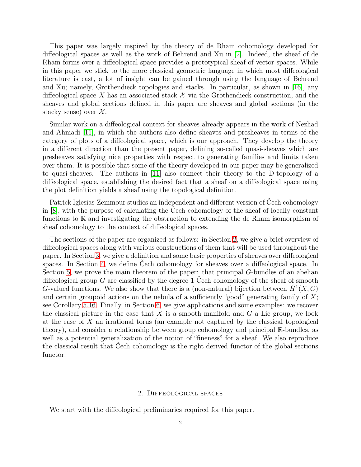This paper was largely inspired by the theory of de Rham cohomology developed for diffeological spaces as well as the work of Behrend and Xu in [\[2\]](#page-23-3). Indeed, the sheaf of de Rham forms over a diffeological space provides a prototypical sheaf of vector spaces. While in this paper we stick to the more classical geometric language in which most diffeological literature is cast, a lot of insight can be gained through using the language of Behrend and Xu; namely, Grothendieck topologies and stacks. In particular, as shown in [\[16\]](#page-24-1), any diffeological space X has an associated stack  $\mathcal X$  via the Grothendieck construction, and the sheaves and global sections defined in this paper are sheaves and global sections (in the stacky sense) over  $\mathcal{X}$ .

Similar work on a diffeological context for sheaves already appears in the work of Nezhad and Ahmadi [\[11\]](#page-23-4), in which the authors also define sheaves and presheaves in terms of the category of plots of a diffeological space, which is our approach. They develop the theory in a different direction than the present paper, defining so-called quasi-sheaves which are presheaves satisfying nice properties with respect to generating families and limits taken over them. It is possible that some of the theory developed in our paper may be generalized to quasi-sheaves. The authors in [\[11\]](#page-23-4) also connect their theory to the D-topology of a diffeological space, establishing the desired fact that a sheaf on a diffeological space using the plot definition yields a sheaf using the topological definition.

Patrick Iglesias-Zemmour studies an independent and different version of Čech cohomology in [\[8\]](#page-23-5), with the purpose of calculating the Čech cohomology of the sheaf of locally constant functions to R and investigating the obstruction to extending the de Rham isomorphism of sheaf cohomology to the context of diffeological spaces.

The sections of the paper are organized as follows: in Section [2,](#page-1-0) we give a brief overview of diffeological spaces along with various constructions of them that will be used throughout the paper. In Section [3,](#page-4-0) we give a definition and some basic properties of sheaves over diffeological spaces. In Section [4,](#page-8-0) we define Čech cohomology for sheaves over a diffeological space. In Section [5,](#page-12-0) we prove the main theorem of the paper: that principal  $G$ -bundles of an abelian diffeological group G are classified by the degree 1 Čech cohomology of the sheaf of smooth G-valued functions. We also show that there is a (non-natural) bijection between  $\check{H}^1(X, G)$ and certain groupoid actions on the nebula of a sufficiently "good" generating family of  $X$ ; see Corollary [5.16.](#page-19-0) Finally, in Section [6,](#page-19-1) we give applications and some examples: we recover the classical picture in the case that  $X$  is a smooth manifold and  $G$  a Lie group, we look at the case of X an irrational torus (an example not captured by the classical topological theory), and consider a relationship between group cohomology and principal R-bundles, as well as a potential generalization of the notion of "fineness" for a sheaf. We also reproduce the classical result that Čech cohomology is the right derived functor of the global sections functor.

### 2. Diffeological spaces

<span id="page-1-0"></span>We start with the diffeological preliminaries required for this paper.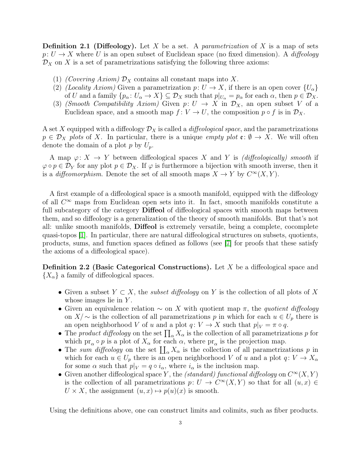**Definition 2.1 (Diffeology).** Let X be a set. A *parametrization* of X is a map of sets  $p: U \to X$  where U is an open subset of Euclidean space (no fixed dimension). A diffeology  $\mathcal{D}_X$  on X is a set of parametrizations satisfying the following three axioms:

- (1) (Covering Axiom)  $\mathcal{D}_X$  contains all constant maps into X.
- (2) (Locality Axiom) Given a parametrization  $p: U \to X$ , if there is an open cover  $\{U_{\alpha}\}\$ of U and a family  $\{p_{\alpha} : U_{\alpha} \to X\} \subseteq \mathcal{D}_X$  such that  $p|_{U_{\alpha}} = p_{\alpha}$  for each  $\alpha$ , then  $p \in \mathcal{D}_X$ .
- (3) (Smooth Compatibility Axiom) Given  $p: U \to X$  in  $\mathcal{D}_X$ , an open subset V of a Euclidean space, and a smooth map  $f: V \to U$ , the composition  $p \circ f$  is in  $\mathcal{D}_X$ .

A set X equipped with a diffeology  $\mathcal{D}_X$  is called a *diffeological space*, and the parametrizations  $p \in \mathcal{D}_X$  plots of X. In particular, there is a unique empty plot  $\mathfrak{e} : \emptyset \to X$ . We will often denote the domain of a plot p by  $U_p$ .

A map  $\varphi: X \to Y$  between diffeological spaces X and Y is *(diffeologically)* smooth if  $\varphi \circ p \in \mathcal{D}_Y$  for any plot  $p \in \mathcal{D}_X$ . If  $\varphi$  is furthermore a bijection with smooth inverse, then it is a *diffeomorphism*. Denote the set of all smooth maps  $X \to Y$  by  $C^{\infty}(X, Y)$ .

A first example of a diffeological space is a smooth manifold, equipped with the diffeology of all  $C^{\infty}$  maps from Euclidean open sets into it. In fact, smooth manifolds constitute a full subcategory of the category **Diffeol** of diffeological spaces with smooth maps between them, and so diffeology is a generalization of the theory of smooth manifolds. But that's not all: unlike smooth manifolds, Diffeol is extremely versatile, being a complete, cocomplete quasi-topos [\[1\]](#page-23-6). In particular, there are natural diffeological structures on subsets, quotients, products, sums, and function spaces defined as follows (see [\[7\]](#page-23-7) for proofs that these satisfy the axioms of a diffeological space).

Definition 2.2 (Basic Categorical Constructions). Let X be a diffeological space and  ${X_\alpha}$  a family of diffeological spaces.

- Given a subset  $Y \subset X$ , the *subset diffeology* on Y is the collection of all plots of X whose images lie in  $Y$ .
- Given an equivalence relation  $\sim$  on X with quotient map  $\pi$ , the quotient diffeology on  $X/\sim$  is the collection of all parametrizations p in which for each  $u \in U_p$  there is an open neighborhood V of u and a plot  $q: V \to X$  such that  $p|_V = \pi \circ q$ .
- The product diffeology on the set  $\prod_{\alpha} X_{\alpha}$  is the collection of all parametrizations p for which  $pr_{\alpha} \circ p$  is a plot of  $X_{\alpha}$  for each  $\alpha$ , where  $pr_{\alpha}$  is the projection map.
- The sum diffeology on the set  $\prod_{\alpha} X_{\alpha}$  is the collection of all parametrizations p in which for each  $u \in U_p$  there is an open neighborhood V of u and a plot  $q: V \to X_\alpha$ for some  $\alpha$  such that  $p|_V = q \circ i_{\alpha}$ , where  $i_{\alpha}$  is the inclusion map.
- Given another diffeological space Y, the *(standard)* functional diffeology on  $C^{\infty}(X, Y)$ is the collection of all parametrizations  $p: U \to C^{\infty}(X, Y)$  so that for all  $(u, x) \in$  $U \times X$ , the assignment  $(u, x) \mapsto p(u)(x)$  is smooth.

Using the definitions above, one can construct limits and colimits, such as fiber products.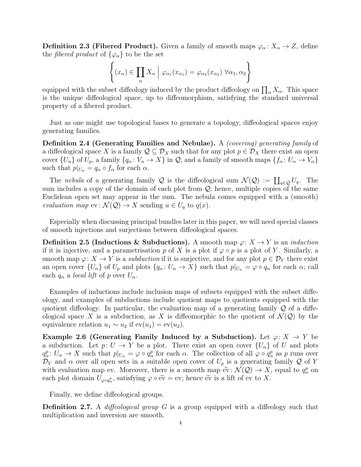<span id="page-3-0"></span>**Definition 2.3 (Fibered Product).** Given a family of smooth maps  $\varphi_{\alpha} : X_{\alpha} \to Z$ , define the *fibered product* of  $\{\varphi_{\alpha}\}\)$  to be the set

$$
\left\{ (x_{\alpha}) \in \prod_{\alpha} X_{\alpha} \mid \varphi_{\alpha_1}(x_{\alpha_1}) = \varphi_{\alpha_2}(x_{\alpha_2}) \; \forall \alpha_1, \alpha_2 \right\}
$$

equipped with the subset diffeology induced by the product diffeology on  $\prod_{\alpha} X_{\alpha}$ . This space is the unique diffeological space, up to diffeomorphism, satisfying the standard universal property of a fibered product.

Just as one might use topological bases to generate a topology, diffeological spaces enjoy generating families.

Definition 2.4 (Generating Families and Nebulae). A *(covering) generating family* of a diffeological space X is a family  $\mathcal{Q} \subseteq \mathcal{D}_X$  such that for any plot  $p \in \mathcal{D}_X$  there exist an open cover  $\{U_{\alpha}\}$  of  $U_p$ , a family  $\{q_{\alpha}: V_{\alpha} \to X\}$  in  $\mathcal{Q}$ , and a family of smooth maps  $\{f_{\alpha}: U_{\alpha} \to V_{\alpha}\}$ such that  $p|_{U_{\alpha}} = q_{\alpha} \circ f_{\alpha}$  for each  $\alpha$ .

The nebula of a generating family Q is the diffeological sum  $\mathcal{N}(Q) := \coprod_{q \in Q} U_q$ . The sum includes a copy of the domain of each plot from  $\mathcal{Q}$ ; hence, multiple copies of the same Euclidean open set may appear in the sum. The nebula comes equipped with a (smooth) evaluation map  $ev: \mathcal{N}(\mathcal{Q}) \to X$  sending  $u \in U_q$  to  $q(x)$ .

Especially when discussing principal bundles later in this paper, we will need special classes of smooth injections and surjections between diffeological spaces.

**Definition 2.5 (Inductions & Subductions).** A smooth map  $\varphi: X \to Y$  is an *induction* if it is injective, and a parametrisation p of X is a plot if  $\varphi \circ p$  is a plot of Y. Similarly, a smooth map  $\varphi: X \to Y$  is a *subduction* if it is surjective, and for any plot  $p \in \mathcal{D}_Y$  there exist an open cover  $\{U_{\alpha}\}\$  of  $U_p$  and plots  $\{q_{\alpha}: U_{\alpha}\to X\}$  such that  $p|_{U_{\alpha}}=\varphi\circ q_{\alpha}$  for each  $\alpha$ ; call each  $q_{\alpha}$  a local lift of p over  $U_{\alpha}$ .

Examples of inductions include inclusion maps of subsets equipped with the subset diffeology, and examples of subductions include quotient maps to quotients equipped with the quotient diffeology. In particular, the evaluation map of a generating family  $\mathcal Q$  of a diffeological space X is a subduction, as X is diffeomorphic to the quotient of  $\mathcal{N}(\mathcal{Q})$  by the equivalence relation  $u_1 \sim u_2$  if  $ev(u_1) = ev(u_2)$ .

<span id="page-3-1"></span>Example 2.6 (Generating Family Induced by a Subduction). Let  $\varphi: X \to Y$  be a subduction. Let  $p: U \to Y$  be a plot. There exist an open cover  $\{U_{\alpha}\}\$  of U and plots  $q_{\alpha}^p: U_{\alpha} \to X$  such that  $p|_{U_{\alpha}} = \varphi \circ q_{\alpha}^p$  for each  $\alpha$ . The collection of all  $\varphi \circ q_{\alpha}^p$  as p runs over  $\mathcal{D}_Y$  and  $\alpha$  over all open sets in a suitable open cover of  $U_p$  is a generating family Q of Y with evaluation map ev. Moreover, there is a smooth map  $\widetilde{ev}: \mathcal{N}(\mathcal{Q}) \to X$ , equal to  $q^p_\alpha$  on each plat demain  $U$ , each interval on  $\widetilde{ev}$  and  $\widetilde{ev}$  and  $\widetilde{ev}$  and  $\widetilde{ev}$  and  $\widetilde{ev}$  and  $\widetilde{ev}$  each plot domain  $U_{\varphi \circ q_{\alpha}^p}$ , satisfying  $\varphi \circ \tilde{\text{ev}} = \text{ev}$ ; hence  $\tilde{\text{ev}}$  is a lift of  $\text{ev}$  to X.

Finally, we define diffeological groups.

**Definition 2.7.** A *diffeological group* G is a group equipped with a diffeology such that multiplication and inversion are smooth.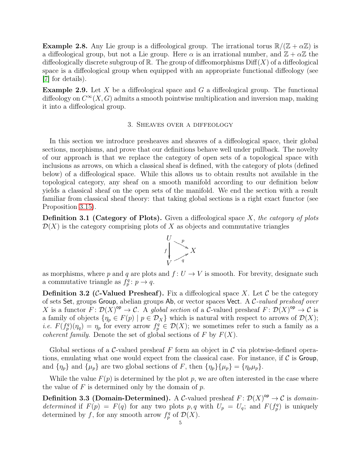**Example 2.8.** Any Lie group is a diffeological group. The irrational torus  $\mathbb{R}/(\mathbb{Z} + \alpha \mathbb{Z})$  is a diffeological group, but not a Lie group. Here  $\alpha$  is an irrational number, and  $\mathbb{Z} + \alpha \mathbb{Z}$  the diffeologically discrete subgroup of  $\mathbb R$ . The group of diffeomorphisms  $\text{Diff}(X)$  of a diffeological space is a diffeological group when equipped with an appropriate functional diffeology (see [\[7\]](#page-23-7) for details).

<span id="page-4-1"></span><span id="page-4-0"></span>**Example 2.9.** Let X be a diffeological space and G a diffeological group. The functional diffeology on  $C^{\infty}(X, G)$  admits a smooth pointwise multiplication and inversion map, making it into a diffeological group.

### 3. Sheaves over a diffeology

In this section we introduce presheaves and sheaves of a diffeological space, their global sections, morphisms, and prove that our definitions behave well under pullback. The novelty of our approach is that we replace the category of open sets of a topological space with inclusions as arrows, on which a classical sheaf is defined, with the category of plots (defined below) of a diffeological space. While this allows us to obtain results not available in the topological category, any sheaf on a smooth manifold according to our definition below yields a classical sheaf on the open sets of the manifold. We end the section with a result familiar from classical sheaf theory: that taking global sections is a right exact functor (see Proposition [3.15\)](#page-7-0).

**Definition 3.1 (Category of Plots).** Given a diffeological space  $X$ , the category of plots  $\mathcal{D}(X)$  is the category comprising plots of X as objects and commutative triangles



as morphisms, where p and q are plots and  $f: U \to V$  is smooth. For brevity, designate such a commutative triangle as  $f_p^q: p \to q$ .

**Definition 3.2 (C-Valued Presheaf).** Fix a diffeological space X. Let  $\mathcal{C}$  be the category of sets Set, groups Group, abelian groups  $Ab$ , or vector spaces Vect. A C-valued presheaf over X is a functor  $F: \mathcal{D}(X)^{op} \to \mathcal{C}$ . A global section of a C-valued presheaf  $F: \mathcal{D}(X)^{op} \to \mathcal{C}$  is a family of objects  $\{\eta_p \in F(p) \mid p \in \mathcal{D}_X\}$  which is natural with respect to arrows of  $\mathcal{D}(X)$ ; *i.e.*  $F(f_p^q)(\eta_q) = \eta_p$  for every arrow  $f_p^q \in \mathcal{D}(X)$ ; we sometimes refer to such a family as a *coherent family.* Denote the set of global sections of F by  $F(X)$ .

Global sections of a C-valued presheaf F form an object in C via plotwise-defined operations, emulating what one would expect from the classical case. For instance, if  $\mathcal C$  is Group, and  $\{\eta_p\}$  and  $\{\mu_p\}$  are two global sections of F, then  $\{\eta_p\}\{\mu_p\} = \{\eta_p\mu_p\}.$ 

While the value  $F(p)$  is determined by the plot p, we are often interested in the case where the value of  $F$  is determined only by the domain of  $p$ .

**Definition 3.3 (Domain-Determined).** A C-valued presheaf  $F: \mathcal{D}(X)^{op} \to \mathcal{C}$  is *domain*determined if  $F(p) = F(q)$  for any two plots p, q with  $U_p = U_q$ ; and  $F(f_p^q)$  is uniquely determined by f, for any smooth arrow  $f_p^q$  of  $\mathcal{D}(X)$ .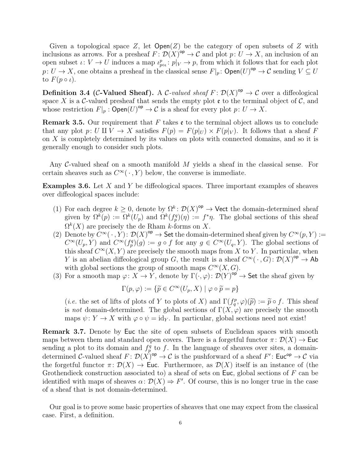Given a topological space Z, let  $Open(Z)$  be the category of open subsets of Z with inclusions as arrows. For a presheaf  $F: \mathcal{D}(X)^{op} \to \mathcal{C}$  and plot  $p: U \to X$ , an inclusion of an open subset  $\iota: V \to U$  induces a map  $\iota_{\text{pot}}^p: p|_V \to p$ , from which it follows that for each plot  $p: U \to X$ , one obtains a presheaf in the classical sense  $F|_p$ :  $\mathsf{Open}(U)^\mathsf{op} \to \mathcal{C}$  sending  $V \subseteq U$ to  $F(p \circ \iota)$ .

**Definition 3.4 (C-Valued Sheaf).** A C-valued sheaf  $F: \mathcal{D}(X)^{op} \to \mathcal{C}$  over a diffeological space X is a C-valued presheaf that sends the empty plot  $\mathfrak e$  to the terminal object of C, and whose restriction  $F|_p : \mathsf{Open}(U)^{\mathsf{op}} \to \mathcal{C}$  is a sheaf for every plot  $p: U \to X$ .

<span id="page-5-1"></span>**Remark 3.5.** Our requirement that F takes  $\mathfrak{e}$  to the terminal object allows us to conclude that any plot p: U II V  $\rightarrow X$  satisfies  $F(p) = F(p|_U) \times F(p|_V)$ . It follows that a sheaf F on X is completely determined by its values on plots with connected domains, and so it is generally enough to consider such plots.

Any C-valued sheaf on a smooth manifold  $M$  yields a sheaf in the classical sense. For certain sheaves such as  $C^{\infty}(\cdot, Y)$  below, the converse is immediate.

<span id="page-5-2"></span>**Examples 3.6.** Let  $X$  and  $Y$  be diffeological spaces. Three important examples of sheaves over diffeological spaces include:

- (1) For each degree  $k \geq 0$ , denote by  $\Omega^k : \mathcal{D}(X)^{op} \to \mathsf{Vect}$  the domain-determined sheaf given by  $\Omega^k(p) := \Omega^k(U_p)$  and  $\Omega^k(f_p^q)(\eta) := f^*\eta$ . The global sections of this sheaf  $\Omega^k(X)$  are precisely the de Rham k-forms on X.
- (2) Denote by  $C^{\infty}(\cdot, Y)$ :  $\mathcal{D}(X)^{op} \to$  Set the domain-determined sheaf given by  $C^{\infty}(p, Y)$ :=  $C^{\infty}(U_p, Y)$  and  $C^{\infty}(f_p^q)(g) := g \circ f$  for any  $g \in C^{\infty}(U_q, Y)$ . The global sections of this sheaf  $C^{\infty}(X, Y)$  are precisely the smooth maps from X to Y. In particular, when Y is an abelian diffeological group G, the result is a sheaf  $C^{\infty}(\cdot, G) : \mathcal{D}(X)^{\text{op}} \to \text{Ab}$ with global sections the group of smooth maps  $C^{\infty}(X, G)$ .
- (3) For a smooth map  $\varphi: X \to Y$ , denote by  $\Gamma(\cdot, \varphi): \mathcal{D}(Y)^{op} \to$  Set the sheaf given by

$$
\Gamma(p,\varphi) := \{ \widetilde{p} \in C^{\infty}(U_p, X) \mid \varphi \circ \widetilde{p} = p \}
$$

(*i.e.* the set of lifts of plots of Y to plots of X) and  $\Gamma(f_q^p, \varphi)(\tilde{p}) := \tilde{p} \circ f$ . This sheaf is not domain-determined. The global sections of  $\Gamma(X, \varphi)$  are precisely the smooth maps  $\psi: Y \to X$  with  $\varphi \circ \psi = id_Y$ . In particular, global sections need not exist!

<span id="page-5-0"></span>Remark 3.7. Denote by Euc the site of open subsets of Euclidean spaces with smooth maps between them and standard open covers. There is a forgetful functor  $\pi \colon \mathcal{D}(X) \to \mathsf{Euc}$ sending a plot to its domain and  $f_p^q$  to f. In the language of sheaves over sites, a domaindetermined C-valued sheaf  $F: \mathcal{D}(X)_{\text{op}} \to \mathcal{C}$  is the pushforward of a sheaf  $F' : Euc_{\text{op}} \to \mathcal{C}$  via the forgetful functor  $\pi: \mathcal{D}(X) \to \mathsf{Euc}$ . Furthermore, as  $\mathcal{D}(X)$  itself is an instance of (the Grothendieck construction associated to) a sheaf of sets on Euc, global sections of  $F$  can be identified with maps of sheaves  $\alpha: \mathcal{D}(X) \Rightarrow F'$ . Of course, this is no longer true in the case of a sheaf that is not domain-determined.

Our goal is to prove some basic properties of sheaves that one may expect from the classical case. First, a definition.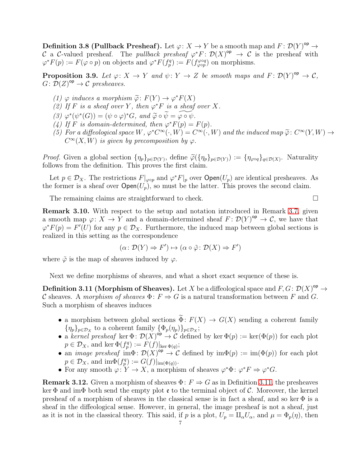**Definition 3.8 (Pullback Presheaf).** Let  $\varphi: X \to Y$  be a smooth map and  $F: \mathcal{D}(Y)^{op} \to Y$ C a C-valued presheaf. The *pullback presheaf*  $\varphi^* F: \mathcal{D}(X)^{op} \to \mathcal{C}$  is the presheaf with  $\varphi^* F(p) := F(\varphi \circ p)$  on objects and  $\varphi^* F(f_p^q) := F(f_{\varphi \circ p}^{\varphi \circ q})$  on morphisms.

<span id="page-6-1"></span>**Proposition 3.9.** Let  $\varphi: X \to Y$  and  $\psi: Y \to Z$  be smooth maps and  $F: \mathcal{D}(Y)^{op} \to \mathcal{C}$ ,  $G: \mathcal{D}(Z)^{\mathsf{op}} \to \mathcal{C}$  presheaves.

- (1)  $\varphi$  induces a morphism  $\widetilde{\varphi}$ :  $F(Y) \to \varphi^* F(X)$
- (2) If F is a sheaf over Y, then  $\varphi^*$ F is a sheaf over X.
- (3)  $\varphi^*(\psi^*(G)) = (\psi \circ \varphi)^* G$ , and  $\widetilde{\varphi} \circ \widetilde{\psi} = \widetilde{\varphi \circ \psi}$ .<br>(1) If E is demain determined then  $\psi^* E(\varphi)$ .
- <span id="page-6-2"></span>(4) If F is domain-determined, then  $\varphi^* F(p) = F(p)$ .
- (5) For a diffeological space  $W$ ,  $\varphi^* C^{\infty}(\cdot, W) = C^{\infty}(\cdot, W)$  and the induced map  $\widetilde{\varphi} \colon C^{\infty}(Y, W) \to C^{\infty}(Y, W)$  is given by present partition by  $\mathfrak{g}$ .  $C^{\infty}(X, W)$  is given by precomposition by  $\varphi$ .

*Proof.* Given a global section  $\{\eta_p\}_{p \in \mathcal{D}(Y)}$ , define  $\widetilde{\varphi}(\{\eta_p\}_{p \in \mathcal{D}(Y)}) := \{\eta_{\varphi \circ q}\}_{q \in \mathcal{D}(X)}$ . Naturality follows from the definition. This proves the first claim.

Let  $p \in \mathcal{D}_X$ . The restrictions  $F|_{\varphi \circ p}$  and  $\varphi^* F|_p$  over  $\mathsf{Open}(U_p)$  are identical presheaves. As the former is a sheaf over  $Open(U_p)$ , so must be the latter. This proves the second claim.

The remaining claims are straightforward to check.  $\Box$ 

Remark 3.10. With respect to the setup and notation introduced in Remark [3.7,](#page-5-0) given a smooth map  $\varphi: X \to Y$  and a domain-determined sheaf  $F: \mathcal{D}(Y)^{op} \to \mathcal{C}$ , we have that  $\varphi^*F(p) = F'(U)$  for any  $p \in \mathcal{D}_X$ . Furthermore, the induced map between global sections is realized in this setting as the correspondence

$$
(\alpha \colon \mathcal{D}(Y) \Rightarrow F') \mapsto (\alpha \circ \tilde{\varphi} \colon \mathcal{D}(X) \Rightarrow F')
$$

where  $\tilde{\varphi}$  is the map of sheaves induced by  $\varphi$ .

Next we define morphisms of sheaves, and what a short exact sequence of these is.

<span id="page-6-0"></span>**Definition 3.11 (Morphism of Sheaves).** Let X be a diffeological space and  $F, G: \mathcal{D}(X)^{\mathsf{op}} \to$ C sheaves. A morphism of sheaves  $\Phi: F \Rightarrow G$  is a natural transformation between F and G. Such a morphism of sheaves induces

- a morphism between global sections  $\widetilde{\Phi}$ :  $F(X) \to G(X)$  sending a coherent family  $\{\eta_p\}_{p\in\mathcal{D}_X}$  to a coherent family  $\{\Phi_p(\eta_p)\}_{p\in\mathcal{D}_X}$ ;
- a kernel presheaf ker  $\Phi: \mathcal{D}(X)^{op} \to \mathcal{C}$  defined by ker  $\Phi(p) := \ker(\Phi(p))$  for each plot  $p \in \mathcal{D}_X$ , and ker  $\Phi(f_p^q) := F(f)|_{\ker \Phi(q)}$ ;
- an *image presheaf*  $\text{im}\Phi: \mathcal{D}(X)^{\text{op}} \to \mathcal{C}$  defined by  $\text{im}\Phi(p) := \text{im}(\Phi(p))$  for each plot  $p \in \mathcal{D}_X$ , and  $\text{im}\Phi(f_p^q) := G(f)|_{\text{im}(\Phi(q))}$ .
- For any smooth  $\varphi: Y \to X$ , a morphism of sheaves  $\varphi^* \Phi : \varphi^* F \Rightarrow \varphi^* G$ .

**Remark 3.12.** Given a morphism of sheaves  $\Phi: F \Rightarrow G$  as in Definition [3.11,](#page-6-0) the presheaves ker Φ and imΦ both send the empty plot  $\mathfrak{e}$  to the terminal object of C. Moreover, the kernel presheaf of a morphism of sheaves in the classical sense is in fact a sheaf, and so ker  $\Phi$  is a sheaf in the diffeological sense. However, in general, the image presheaf is not a sheaf, just as it is not in the classical theory. This said, if p is a plot,  $U_p = \prod_{\alpha} U_{\alpha}$ , and  $\mu = \Phi_p(\eta)$ , then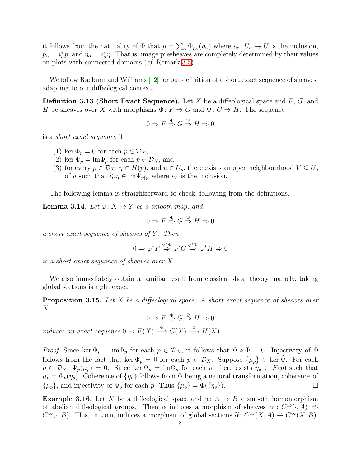it follows from the naturality of  $\Phi$  that  $\mu = \sum_{\alpha} \Phi_{p_{\alpha}}(\eta_{\alpha})$  where  $i_{\alpha} : U_{\alpha} \to U$  is the inclusion,  $p_{\alpha} = i_{\alpha}^{*} p$ , and  $\eta_{\alpha} = i_{\alpha}^{*} \eta$ . That is, image presheaves are completely determined by their values on plots with connected domains (cf. Remark [3.5\)](#page-5-1).

We follow Raeburn and Williams [\[12\]](#page-23-8) for our definition of a short exact sequence of sheaves, adapting to our diffeological context.

**Definition 3.13 (Short Exact Sequence).** Let X be a diffeological space and  $F$ ,  $G$ , and H be sheaves over X with morphisms  $\Phi: F \Rightarrow G$  and  $\Psi: G \Rightarrow H$ . The sequence

$$
0 \Rightarrow F \stackrel{\Phi}{\Rightarrow} G \stackrel{\Psi}{\Rightarrow} H \Rightarrow 0
$$

is a short exact sequence if

- (1) ker  $\Phi_p = 0$  for each  $p \in \mathcal{D}_X$ ,
- (2) ker  $\Psi_p = \text{im}\Phi_p$  for each  $p \in \mathcal{D}_X$ , and
- (3) for every  $p \in \mathcal{D}_X$ ,  $\eta \in H(p)$ , and  $u \in U_p$ , there exists an open neighbourhood  $V \subseteq U_p$ of u such that  $i_V^* \eta \in \text{im}\Psi_{p|_V}$  where  $i_V$  is the inclusion.

The following lemma is straightforward to check, following from the definitions.

<span id="page-7-1"></span>**Lemma 3.14.** Let  $\varphi: X \to Y$  be a smooth map, and

$$
0 \Rightarrow F \stackrel{\Phi}{\Rightarrow} G \stackrel{\Psi}{\Rightarrow} H \Rightarrow 0
$$

a short exact sequence of sheaves of  $Y$ . Then

$$
0 \Rightarrow \varphi^* F \stackrel{\varphi^* \Phi}{\Rightarrow} \varphi^* G \stackrel{\varphi^* \Psi}{\Rightarrow} \varphi^* H \Rightarrow 0
$$

is a short exact sequence of sheaves over X.

We also immediately obtain a familiar result from classical sheaf theory; namely, taking global sections is right exact.

<span id="page-7-0"></span>**Proposition 3.15.** Let X be a diffeological space. A short exact sequence of sheaves over  $X$ 

 $0 \Rightarrow F \stackrel{\Phi}{\Rightarrow} G \stackrel{\Psi}{\Rightarrow} H \Rightarrow 0$ 

induces an exact sequence  $0 \to F(X) \stackrel{\tilde{\Phi}}{\longrightarrow} G(X) \stackrel{\tilde{\Psi}}{\longrightarrow} H(X)$ .

*Proof.* Since ker  $\Psi_p = \text{im}\Phi_p$  for each  $p \in \mathcal{D}_X$ , it follows that  $\widetilde{\Psi} \circ \widetilde{\Phi} = 0$ . Injectivity of  $\widetilde{\Phi}$ follows from the fact that ker  $\Phi_p = 0$  for each  $p \in \mathcal{D}_X$ . Suppose  $\{\mu_p\} \in \text{ker } \Psi$ . For each  $p \in \mathcal{D}_X$ ,  $\Psi_p(\mu_p) = 0$ . Since ker  $\Psi_p = \text{im}\Phi_p$  for each p, there exists  $\eta_p \in F(p)$  such that  $\mu_p = \Phi_p(\eta_p)$ . Coherence of  $\{\eta_p\}$  follows from  $\Phi$  being a natural transformation, coherence of  $\{\mu_p\}$ , and injectivity of  $\Phi_p$  for each p. Thus  $\{\mu_p\} = \Phi(\{\eta_p\})$ .

**Example 3.16.** Let X be a diffeological space and  $\alpha: A \rightarrow B$  a smooth homomorphism of abelian diffeological groups. Then  $\alpha$  induces a morphism of sheaves  $\alpha_{\sharp}: C^{\infty}(\cdot, A) \Rightarrow$  $C^{\infty}(\cdot, B)$ . This, in turn, induces a morphism of global sections  $\tilde{\alpha} \colon C^{\infty}(X, A) \to C^{\infty}(X, B)$ .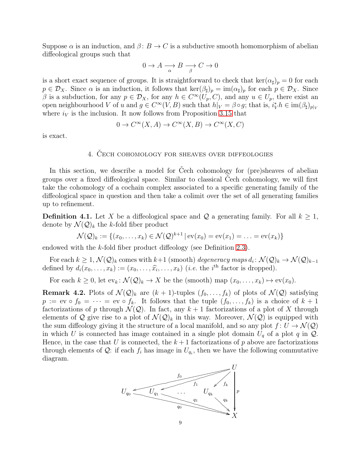Suppose  $\alpha$  is an induction, and  $\beta: B \to C$  is a subductive smooth homomorphism of abelian diffeological groups such that

$$
0 \to A \xrightarrow[\alpha]{ } B \xrightarrow[\beta]{ } C \to 0
$$

is a short exact sequence of groups. It is straightforward to check that  $\ker(\alpha_\sharp)_p = 0$  for each  $p \in \mathcal{D}_X$ . Since  $\alpha$  is an induction, it follows that  $\ker(\beta_\sharp)_p = \text{im}(\alpha_\sharp)_p$  for each  $p \in \mathcal{D}_X$ . Since  $\beta$  is a subduction, for any  $p \in \mathcal{D}_X$ , for any  $h \in C^{\infty}(U_p, C)$ , and any  $u \in U_p$ , there exist an open neighbourhood V of u and  $g \in C^{\infty}(V, B)$  such that  $h|_V = \beta \circ g$ ; that is,  $i_V^* h \in \text{im}(\beta_{\sharp})_{p|_V}$ where  $i_V$  is the inclusion. It now follows from Proposition [3.15](#page-7-0) that

$$
0 \to C^{\infty}(X, A) \to C^{\infty}(X, B) \to C^{\infty}(X, C)
$$

<span id="page-8-0"></span>is exact.

## 4. Čech cohomology for sheaves over diffeologies

In this section, we describe a model for Čech cohomology for (pre)sheaves of abelian groups over a fixed diffeological space. Similar to classical Čech cohomology, we will first take the cohomology of a cochain complex associated to a specific generating family of the diffeological space in question and then take a colimit over the set of all generating families up to refinement.

**Definition 4.1.** Let X be a diffeological space and Q a generating family. For all  $k \geq 1$ , denote by  $\mathcal{N}(\mathcal{Q})_k$  the k-fold fiber product

$$
\mathcal{N}(\mathcal{Q})_k := \{(x_0, \ldots, x_k) \in \mathcal{N}(\mathcal{Q})^{k+1} \, | \, \text{ev}(x_0) = \text{ev}(x_1) = \ldots = \text{ev}(x_k) \}
$$

endowed with the k-fold fiber product diffeology (see Definition [2.3\)](#page-3-0).

For each  $k \geq 1$ ,  $\mathcal{N}(\mathcal{Q})_k$  comes with  $k+1$  (smooth) degeneracy maps  $d_i \colon \mathcal{N}(\mathcal{Q})_k \to \mathcal{N}(\mathcal{Q})_{k-1}$ defined by  $d_i(x_0,\ldots,x_k) := (x_0,\ldots,\widehat{x}_i,\ldots,x_k)$  (*i.e.* the *i*<sup>th</sup> factor is dropped).

For each  $k \geq 0$ , let  $ev_k \colon \mathcal{N}(\mathcal{Q})_k \to X$  be the (smooth) map  $(x_0, \ldots, x_k) \mapsto ev(x_0)$ .

<span id="page-8-1"></span>**Remark 4.2.** Plots of  $\mathcal{N}(\mathcal{Q})_k$  are  $(k+1)$ -tuples  $(f_0, \ldots, f_k)$  of plots of  $\mathcal{N}(\mathcal{Q})$  satisfying  $p := \text{ev} \circ f_0 = \cdots = \text{ev} \circ f_k$ . It follows that the tuple  $(f_0, \ldots, f_k)$  is a choice of  $k+1$ factorizations of p through  $\mathcal{N}(Q)$ . In fact, any  $k+1$  factorizations of a plot of X through elements of Q give rise to a plot of  $\mathcal{N}(\mathcal{Q})_k$  in this way. Moreover,  $\mathcal{N}(\mathcal{Q})$  is equipped with the sum diffeology giving it the structure of a local manifold, and so any plot  $f: U \to \mathcal{N}(\mathcal{Q})$ in which U is connected has image contained in a single plot domain  $U_q$  of a plot q in  $Q$ . Hence, in the case that U is connected, the  $k+1$  factorizations of p above are factorizations through elements of  $\mathcal{Q}$ : if each  $f_i$  has image in  $U_{q_i}$ , then we have the following commutative diagram.

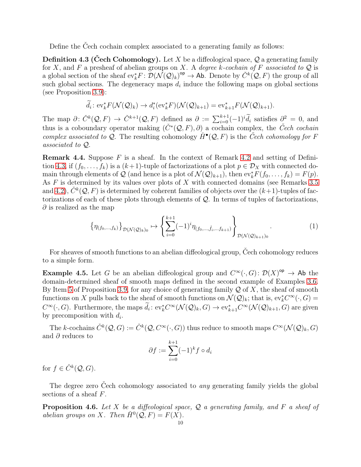Define the Čech cochain complex associated to a generating family as follows:

<span id="page-9-0"></span>**Definition 4.3 (Cech Cohomology).** Let X be a diffeological space,  $Q$  a generating family for X, and F a presheaf of abelian groups on X. A degree k-cochain of F associated to  $\mathcal Q$  is a global section of the sheaf  $ev_k^*F: \mathcal{D}(\mathcal{N}(\mathcal{Q})_k)^{op} \to \text{Ab}$ . Denote by  $\check{C}^k(\mathcal{Q}, F)$  the group of all such global sections. The degeneracy maps  $d_i$  induce the following maps on global sections (see Proposition [3.9\)](#page-6-1):

$$
\widetilde{d}_i: \mathrm{ev}_k^* F(\mathcal{N}(\mathcal{Q})_k) \to d_i^*(\mathrm{ev}_k^* F)(\mathcal{N}(\mathcal{Q})_{k+1}) = \mathrm{ev}_{k+1}^* F(\mathcal{N}(\mathcal{Q})_{k+1}).
$$

The map  $\partial: \check{C}^k(\mathcal{Q}, F) \to \check{C}^{k+1}(\mathcal{Q}, F)$  defined as  $\partial := \sum_{i=0}^{k+1} (-1)^i \widetilde{d}_i$  satisfies  $\partial_z^2 = 0$ , and thus is a coboundary operator making  $(\check{C}^*(\mathcal{Q}, F), \partial)$  a cochain complex, the  $\check{C}ech$  cochain complex associated to Q. The resulting cohomology  $\check{H}^{\bullet}(Q, F)$  is the Cech cohomology for F associated to Q.

<span id="page-9-1"></span>**Remark 4.4.** Suppose  $F$  is a sheaf. In the context of Remark [4.2](#page-8-1) and setting of Defini-tion [4.3,](#page-9-0) if  $(f_0, \ldots, f_k)$  is a  $(k+1)$ -tuple of factorizations of a plot  $p \in \mathcal{D}_X$  with connected domain through elements of Q (and hence is a plot of  $\mathcal{N}(Q)_{k+1}$ ), then  $ev_k^* F(f_0, \ldots, f_k) = F(p)$ . As  $F$  is determined by its values over plots of  $X$  with connected domains (see Remarks [3.5](#page-5-1) and [4.2\)](#page-8-1),  $\check{C}^k(\mathcal{Q}, F)$  is determined by coherent families of objects over the  $(k+1)$ -tuples of factorizations of each of these plots through elements of Q. In terms of tuples of factorizations,  $\partial$  is realized as the map

<span id="page-9-2"></span>
$$
\left\{\eta_{(f_0,\ldots,f_k)}\right\}_{\mathcal{D}(\mathcal{N}(\mathcal{Q})_k)_0} \mapsto \left\{\sum_{i=0}^{k+1} (-1)^i \eta_{(f_0,\ldots,\hat{f}_i,\ldots,f_{k+1})}\right\}_{\mathcal{D}(\mathcal{N}(\mathcal{Q})_{k+1})_0}.
$$
 (1)

For sheaves of smooth functions to an abelian diffeological group, Čech cohomology reduces to a simple form.

<span id="page-9-3"></span>**Example 4.5.** Let G be an abelian diffeological group and  $C^{\infty}(\cdot, G)$ :  $\mathcal{D}(X)^{op} \to$  Ab the domain-determined sheaf of smooth maps defined in the second example of Examples [3.6.](#page-5-2) By Item [5](#page-6-2) of Proposition [3.9,](#page-6-1) for any choice of generating family  $\mathcal Q$  of X, the sheaf of smooth functions on X pulls back to the sheaf of smooth functions on  $\mathcal{N}(\mathcal{Q})_k$ ; that is,  $ev_k^* C^{\infty}(\cdot, G) =$  $C^{\infty}(\cdot, G)$ . Furthermore, the maps  $d_i: ev_k^* C^{\infty}(\mathcal{N}(\mathcal{Q})_k, G) \to ev_{k+1}^* C^{\infty}(\mathcal{N}(\mathcal{Q})_{k+1}, G)$  are given by precomposition with  $d_i$ .

The k-cochains  $\check{C}^k(Q,G) := \check{C}^k(Q, C^\infty(\cdot, G))$  thus reduce to smooth maps  $C^\infty(\mathcal{N}(\mathcal{Q})_k, G)$ and  $\partial$  reduces to

$$
\partial f := \sum_{i=0}^{k+1} (-1)^k f \circ d_i
$$

for  $f \in \check{C}^k(\mathcal{Q}, G)$ .

The degree zero Čech cohomology associated to *any* generating family yields the global sections of a sheaf F.

<span id="page-9-4"></span>**Proposition 4.6.** Let X be a diffeological space,  $\mathcal{Q}$  a generating family, and F a sheaf of abelian groups on X. Then  $\check{H}^0(\mathcal{Q}, F) = F(X)$ .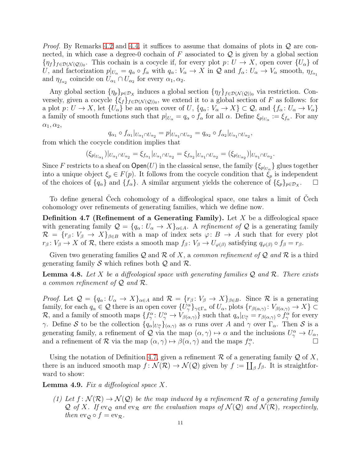*Proof.* By Remarks [4.2](#page-8-1) and [4.4,](#page-9-1) it suffices to assume that domains of plots in  $\mathcal Q$  are connected, in which case a degree-0 cochain of  $F$  associated to  $Q$  is given by a global section  $\{\eta_f\}_{f \in \mathcal{D}(\mathcal{N}(\mathcal{Q}))_0}$ . This cochain is a cocycle if, for every plot  $p: U \to X$ , open cover  $\{U_\alpha\}$  of U, and factorization  $p|_{U_{\alpha}} = q_{\alpha} \circ f_{\alpha}$  with  $q_{\alpha} : V_{\alpha} \to X$  in Q and  $f_{\alpha} : U_{\alpha} \to V_{\alpha}$  smooth,  $\eta_{f_{\alpha_1}}$ and  $\eta_{f_{\alpha_2}}$  coincide on  $U_{\alpha_1} \cap U_{\alpha_2}$  for every  $\alpha_1, \alpha_2$ .

Any global section  $\{\eta_p\}_{p \in \mathcal{D}_X}$  induces a global section  $\{\eta_f\}_{f \in \mathcal{D}(\mathcal{N}(\mathcal{Q}))_0}$  via restriction. Conversely, given a cocycle  $\{\xi_f\}_{f \in \mathcal{D}(\mathcal{N}(\mathcal{Q}))_0}$ , we extend it to a global section of F as follows: for a plot  $p: U \to X$ , let  $\{U_{\alpha}\}\$ be an open cover of  $U$ ,  $\{q_{\alpha}: V_{\alpha} \to X\} \subset \mathcal{Q}$ , and  $\{f_{\alpha}: U_{\alpha} \to V_{\alpha}\}\$ a family of smooth functions such that  $p|_{U_{\alpha}} = q_{\alpha} \circ f_{\alpha}$  for all  $\alpha$ . Define  $\xi_{p|_{U_{\alpha}}} := \xi_{f_{\alpha}}$ . For any  $\alpha_1, \alpha_2,$ 

$$
q_{\alpha_1} \circ f_{\alpha_1}|_{U_{\alpha_1} \cap U_{\alpha_2}} = p|_{U_{\alpha_1} \cap U_{\alpha_2}} = q_{\alpha_2} \circ f_{\alpha_2}|_{U_{\alpha_1} \cap U_{\alpha_2}},
$$

from which the cocycle condition implies that

$$
(\xi_{p|_{U_{\alpha_1}}})|_{U_{\alpha_1} \cap U_{\alpha_2}} = \xi_{f_{\alpha_1}}|_{U_{\alpha_1} \cap U_{\alpha_2}} = \xi_{f_{\alpha_2}}|_{U_{\alpha_1} \cap U_{\alpha_2}} = (\xi_{p|_{U_{\alpha_2}}})|_{U_{\alpha_1} \cap U_{\alpha_2}}.
$$

Since  $F$  restricts to a sheaf on  $\mathsf{Open}(U)$  in the classical sense, the family  $\{\xi_{p|_{U_\alpha}}\}$  glues together into a unique object  $\xi_p \in F(p)$ . It follows from the cocycle condition that  $\xi_p$  is independent of the choices of  $\{q_\alpha\}$  and  $\{f_\alpha\}$ . A similar argument yields the coherence of  $\{\xi_p\}_{p\in\mathcal{D}_X}$ . .  $\Box$ 

To define general Čech cohomology of a diffeological space, one takes a limit of Čech cohomology over refinements of generating families, which we define now.

<span id="page-10-0"></span>**Definition 4.7 (Refinement of a Generating Family).** Let  $X$  be a diffeological space with generating family  $\mathcal{Q} = \{q_\alpha : U_\alpha \to X\}_{\alpha \in A}$ . A refinement of  $\mathcal{Q}$  is a generating family  $\mathcal{R} = \{r_\beta : V_\beta \to X\}_{\beta \in B}$  with a map of index sets  $\varphi: B \to A$  such that for every plot  $r_\beta: V_\beta \to X$  of R, there exists a smooth map  $f_\beta: V_\beta \to U_{\varphi(\beta)}$  satisfying  $q_{\varphi(\beta)} \circ f_\beta = r_\beta$ .

Given two generating families Q and R of X, a common refinement of Q and R is a third generating family S which refines both  $\mathcal{Q}$  and  $\mathcal{R}$ .

<span id="page-10-3"></span>**Lemma 4.8.** Let X be a diffeological space with generating families  $Q$  and  $R$ . There exists a common refinement of  $Q$  and  $R$ .

*Proof.* Let  $\mathcal{Q} = \{q_\alpha : U_\alpha \to X\}_{\alpha \in A}$  and  $\mathcal{R} = \{r_\beta : V_\beta \to X\}_{\beta \in B}$ . Since  $\mathcal{R}$  is a generating family, for each  $q_{\alpha} \in \mathcal{Q}$  there is an open cover  $\{U^{\alpha}_{\gamma}\}_{\gamma \in \Gamma_{\alpha}}$  of  $U_{\alpha}$ , plots  $\{r_{\beta(\alpha,\gamma)} : V_{\beta(\alpha,\gamma)} \to X\} \subset$ R, and a family of smooth maps  $\{f^{\alpha}_{\gamma}: U^{\alpha}_{\gamma} \to V_{\beta(\alpha,\gamma)}\}$  such that  $q_{\alpha}|_{U^{\alpha}_{\gamma}} = r_{\beta(\alpha,\gamma)} \circ f^{\alpha}_{\gamma}$  for every γ. Define S to be the collection  $\{q_\alpha|_{U_\gamma^{\alpha}}\}_{(\alpha,\gamma)}$  as  $\alpha$  runs over A and  $\gamma$  over  $\Gamma_\alpha$ . Then S is a generating family, a refinement of Q via the map  $(\alpha, \gamma) \mapsto \alpha$  and the inclusions  $U^{\alpha}_{\gamma} \to U_{\alpha}$ , and a refinement of  $\mathcal R$  via the map  $(\alpha, \gamma) \mapsto \beta(\alpha, \gamma)$  and the maps  $f^{\alpha}_{\gamma}$ .

Using the notation of Definition [4.7,](#page-10-0) given a refinement  $\mathcal R$  of a generating family  $\mathcal Q$  of X, there is an induced smooth map  $f: \mathcal{N}(\mathcal{R}) \to \mathcal{N}(\mathcal{Q})$  given by  $f := \coprod_{\beta} f_{\beta}$ . It is straightforward to show:

<span id="page-10-2"></span><span id="page-10-1"></span>**Lemma 4.9.** Fix a diffeological space  $X$ .

(1) Let  $f: \mathcal{N}(\mathcal{R}) \to \mathcal{N}(\mathcal{Q})$  be the map induced by a refinement R of a generating family Q of X. If  $ev_{\mathcal{Q}}$  and  $ev_{\mathcal{R}}$  are the evaluation maps of  $\mathcal{N}(\mathcal{Q})$  and  $\mathcal{N}(\mathcal{R})$ , respectively, then  $ev_{\mathcal{O}} \circ f = ev_{\mathcal{R}}$ .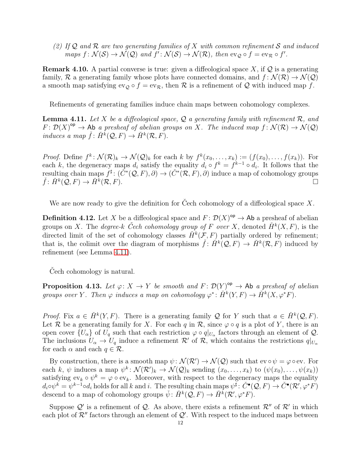(2) If  $\mathcal Q$  and  $\mathcal R$  are two generating families of X with common refinement S and induced maps  $f: \mathcal{N}(\mathcal{S}) \to \mathcal{N}(\mathcal{Q})$  and  $f': \mathcal{N}(\mathcal{S}) \to \mathcal{N}(\mathcal{R})$ , then  $ev_{\mathcal{Q}} \circ f = ev_{\mathcal{R}} \circ f'.$ 

**Remark 4.10.** A partial converse is true: given a diffeological space X, if  $Q$  is a generating family, R a generating family whose plots have connected domains, and  $f: \mathcal{N}(\mathcal{R}) \to \mathcal{N}(\mathcal{Q})$ a smooth map satisfying  $ev_{\mathcal{Q}} \circ f = ev_{\mathcal{R}}$ , then  $\mathcal R$  is a refinement of  $\mathcal Q$  with induced map f.

Refinements of generating families induce chain maps between cohomology complexes.

<span id="page-11-0"></span>**Lemma 4.11.** Let X be a diffeological space, Q a generating family with refinement  $\mathcal{R}$ , and  $F: \mathcal{D}(X)^{op} \to \mathsf{Ab}$  a presheaf of abelian groups on X. The induced map  $f: \mathcal{N}(\mathcal{R}) \to \mathcal{N}(\mathcal{Q})$ induces a map  $\check{f}$ :  $\check{H}^k(\mathcal{Q}, F) \to \check{H}^k(\mathcal{R}, F)$ .

*Proof.* Define  $f^k: \mathcal{N}(\mathcal{R})_k \to \mathcal{N}(\mathcal{Q})_k$  for each k by  $f^k(x_0, \ldots, x_k) := (f(x_0), \ldots, f(x_k))$ . For each k, the degeneracy maps  $d_i$  satisfy the equality  $d_i \circ f^k = f^{k-1} \circ d_i$ . It follows that the resulting chain maps  $f^{\sharp}$ :  $(\check{C}^*(\mathcal{Q}, F), \partial) \to (\check{C}^*(\mathcal{R}, F), \partial)$  induce a map of cohomology groups  $\check{f}$ :  $\check{H}^k(\mathcal{Q}, F) \to \check{H}^k$  $(\mathcal{R}, F)$ .

We are now ready to give the definition for Cech cohomology of a diffeological space  $X$ .

<span id="page-11-2"></span>**Definition 4.12.** Let X be a diffeological space and  $F: \mathcal{D}(X)^{op} \to \mathsf{Ab}$  a presheaf of abelian groups on X. The *degree-k* Cech cohomology group of F over X, denoted  $\check{H}^k(X,F)$ , is the directed limit of the set of cohomology classes  $\check{H}^k(\mathcal{F}, F)$  partially ordered by refinement; that is, the colimit over the diagram of morphisms  $\check{f}$ :  $\check{H}^k(Q,F) \to \check{H}^k(\mathcal{R},F)$  induced by refinement (see Lemma [4.11\)](#page-11-0).

Cech cohomology is natural.

<span id="page-11-1"></span>**Proposition 4.13.** Let  $\varphi: X \to Y$  be smooth and  $F: \mathcal{D}(Y)^{op} \to \text{Ab }$  a presheaf of abelian groups over Y. Then  $\varphi$  induces a map on cohomology  $\varphi^*: \check{H}^k(Y, F) \to \check{H}^k(X, \varphi^*F)$ .

*Proof.* Fix  $a \in \check{H}^k(Y, F)$ . There is a generating family Q for Y such that  $a \in \check{H}^k(\mathcal{Q}, F)$ . Let R be a generating family for X. For each q in R, since  $\varphi \circ q$  is a plot of Y, there is an open cover  $\{U_{\alpha}\}$  of  $U_q$  such that each restriction  $\varphi \circ q|_{U_{\alpha}}$  factors through an element of  $\mathcal{Q}$ . The inclusions  $U_{\alpha} \to U_q$  induce a refinement  $\mathcal{R}'$  of  $\mathcal{R}$ , which contains the restrictions  $q|_{U_{\alpha}}$ for each  $\alpha$  and each  $q \in \mathcal{R}$ .

By construction, there is a smooth map  $\psi \colon \mathcal{N}(\mathcal{R}') \to \mathcal{N}(\mathcal{Q})$  such that  $ev \circ \psi = \varphi \circ ev$ . For each k,  $\psi$  induces a map  $\psi^k \colon \mathcal{N}(\mathcal{R}')_k \to \mathcal{N}(\mathcal{Q})_k$  sending  $(x_0, \ldots, x_k)$  to  $(\psi(x_0), \ldots, \psi(x_k))$ satisfying  $ev_k \circ \psi^k = \varphi \circ ev_k$ . Moreover, with respect to the degeneracy maps the equality  $d_i \circ \psi^k = \psi^{k-1} \circ d_i$  holds for all k and i. The resulting chain maps  $\psi^{\sharp} \colon \check{C}^{\bullet}(\mathcal{Q}, F) \to \check{C}^{\bullet}(\mathcal{R}', \varphi^* F)$ descend to a map of cohomology groups  $\check{\psi}$ :  $\check{H}^k(\mathcal{Q}, F) \to \check{H}^k(\mathcal{R}', \varphi^* F)$ .

Suppose  $\mathcal{Q}'$  is a refinement of  $\mathcal{Q}$ . As above, there exists a refinement  $\mathcal{R}''$  of  $\mathcal{R}'$  in which each plot of  $\mathcal{R}''$  factors through an element of  $\mathcal{Q}'$ . With respect to the induced maps between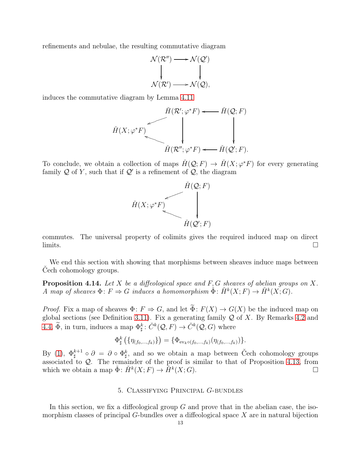refinements and nebulae, the resulting commutative diagram

$$
\mathcal{N}(\mathcal{R}'') \longrightarrow \mathcal{N}(\mathcal{Q}')
$$
  

$$
\downarrow \qquad \qquad \downarrow
$$
  

$$
\mathcal{N}(\mathcal{R}') \longrightarrow \mathcal{N}(\mathcal{Q}),
$$

induces the commutative diagram by Lemma [4.11](#page-11-0)

$$
\check{H}(X; \varphi^* F) \longrightarrow \check{H}(\mathcal{R}'; \varphi^* F) \longleftarrow \check{H}(\mathcal{Q}; F)
$$
\n
$$
\check{H}(\mathcal{R}''; \varphi^* F) \longleftarrow \check{H}(\mathcal{Q}'; F).
$$

To conclude, we obtain a collection of maps  $\check{H}(\mathcal{Q};F) \to \check{H}(X;\varphi^*F)$  for every generating family Q of Y, such that if  $\mathcal{Q}'$  is a refinement of  $\mathcal{Q}$ , the diagram



commutes. The universal property of colimits gives the required induced map on direct  $\Box$ 

We end this section with showing that morphisms between sheaves induce maps between Cech cohomology groups.

<span id="page-12-1"></span>**Proposition 4.14.** Let X be a diffeological space and  $F, G$  sheaves of abelian groups on X. A map of sheaves  $\Phi: F \Rightarrow G$  induces a homomorphism  $\check{\Phi}: H^k(X;F) \to H^k(X;G)$ .

*Proof.* Fix a map of sheaves  $\Phi: F \Rightarrow G$ , and let  $\widetilde{\Phi}: F(X) \to G(X)$  be the induced map on global sections (see Definition [3.11\)](#page-6-0). Fix a generating family  $Q$  of X. By Remarks [4.2](#page-8-1) and [4.4,](#page-9-1)  $\widetilde{\Phi}$ , in turn, induces a map  $\Phi_{\sharp}^k$ :  $\check{C}^k(\mathcal{Q}, F) \to \check{C}^k(\mathcal{Q}, G)$  where

$$
\Phi^k_{\sharp} \left( \{ \eta_{(f_0, ..., f_k)} \} \right) = \{ \Phi_{\mathrm{ev}_k \circ (f_0, ..., f_k)}(\eta_{(f_0, ..., f_k)}) \}.
$$

<span id="page-12-0"></span>By [\(1\)](#page-9-2),  $\Phi_{\text{t}}^{k+1}$  $\zeta_{\sharp}^{k+1} \circ \partial = \partial \circ \Phi_{\sharp}^{k},$  and so we obtain a map between Čech cohomology groups associated to Q. The remainder of the proof is similar to that of Proposition [4.13,](#page-11-1) from which we obtain a map  $\check{\Phi}$ :  $\check{H}^k(X;F) \to \check{H}^k(X;G)$ .

### 5. Classifying Principal G-bundles

In this section, we fix a diffeological group  $G$  and prove that in the abelian case, the isomorphism classes of principal  $G$ -bundles over a diffeological space  $X$  are in natural bijection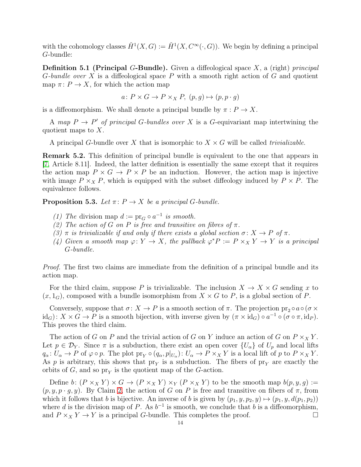with the cohomology classes  $\check{H}^1(X, G) := \check{H}^1(X, C^{\infty}(\cdot, G))$ . We begin by defining a principal G-bundle:

**Definition 5.1 (Principal G-Bundle).** Given a diffeological space  $X$ , a (right) principal G-bundle over X is a diffeological space P with a smooth right action of G and quotient map  $\pi: P \to X$ , for which the action map

 $a: P \times G \to P \times_X P$ ,  $(p, q) \mapsto (p, p \cdot q)$ 

is a diffeomorphism. We shall denote a principal bundle by  $\pi: P \to X$ .

A map  $P \to P'$  of principal G-bundles over X is a G-equivariant map intertwining the quotient maps to  $X$ .

A principal G-bundle over X that is isomorphic to  $X \times G$  will be called *trivializable*.

Remark 5.2. This definition of principal bundle is equivalent to the one that appears in [\[7,](#page-23-7) Article 8.11]. Indeed, the latter definition is essentially the same except that it requires the action map  $P \times G \to P \times P$  be an induction. However, the action map is injective with image  $P \times_X P$ , which is equipped with the subset diffeology induced by  $P \times P$ . The equivalence follows.

<span id="page-13-2"></span>**Proposition 5.3.** Let  $\pi: P \to X$  be a principal G-bundle.

- <span id="page-13-0"></span>(1) The division map  $d := \text{pr}_G \circ a^{-1}$  is smooth.
- <span id="page-13-1"></span>(2) The action of G on P is free and transitive on fibres of  $\pi$ .
- (3)  $\pi$  is trivializable if and only if there exists a global section  $\sigma: X \to P$  of  $\pi$ .
- (4) Given a smooth map  $\varphi: Y \to X$ , the pullback  $\varphi^* P := P \times_X Y \to Y$  is a principal G-bundle.

Proof. The first two claims are immediate from the definition of a principal bundle and its action map.

For the third claim, suppose P is trivializable. The inclusion  $X \to X \times G$  sending x to  $(x, 1_G)$ , composed with a bundle isomorphism from  $X \times G$  to P, is a global section of P.

Conversely, suppose that  $\sigma: X \to P$  is a smooth section of  $\pi$ . The projection  $\text{pr}_2 \circ a \circ (\sigma \times$  $\mathrm{id}_G$ :  $X \times G \to P$  is a smooth bijection, with inverse given by  $(\pi \times \mathrm{id}_G) \circ a^{-1} \circ (\sigma \circ \pi, \mathrm{id}_P)$ . This proves the third claim.

The action of G on P and the trivial action of G on Y induce an action of G on  $P \times_X Y$ . Let  $p \in \mathcal{D}_Y$ . Since  $\pi$  is a subduction, there exist an open cover  $\{U_\alpha\}$  of  $U_p$  and local lifts  $q_\alpha: U_\alpha \to P$  of  $\varphi \circ p$ . The plot  $\text{pr}_Y \circ (q_\alpha, p|_{U_\alpha}) : U_\alpha \to P \times_X Y$  is a local lift of p to  $P \times_X Y$ . As p is arbitrary, this shows that  $pr<sub>Y</sub>$  is a subduction. The fibers of  $pr<sub>Y</sub>$  are exactly the orbits of  $G$ , and so  $pr<sub>Y</sub>$  is the quotient map of the  $G$ -action.

Define b:  $(P \times_X Y) \times G \to (P \times_X Y) \times_Y (P \times_X Y)$  to be the smooth map  $b(p, y, g) :=$  $(p, y, p \cdot g, y)$ . By Claim [2,](#page-13-0) the action of G on P is free and transitive on fibers of  $\pi$ , from which it follows that b is bijective. An inverse of b is given by  $(p_1, y, p_2, y) \mapsto (p_1, y, d(p_1, p_2))$ where d is the division map of P. As  $b^{-1}$  is smooth, we conclude that b is a diffeomorphism, and  $P \times_X Y \to Y$  is a principal G-bundle. This completes the proof.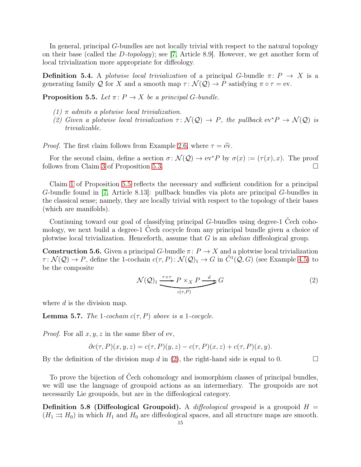In general, principal G-bundles are not locally trivial with respect to the natural topology on their base (called the D-topology); see [\[7,](#page-23-7) Article 8.9]. However, we get another form of local trivialization more appropriate for diffeology.

**Definition 5.4.** A plotwise local trivialization of a principal G-bundle  $\pi: P \to X$  is a generating family Q for X and a smooth map  $\tau : \mathcal{N}(\mathcal{Q}) \to P$  satisfying  $\pi \circ \tau = \text{ev}$ .

<span id="page-14-1"></span><span id="page-14-0"></span>**Proposition 5.5.** Let  $\pi: P \to X$  be a principal G-bundle.

- <span id="page-14-3"></span> $(1)$  π admits a plotwise local trivialization.
- (2) Given a plotwise local trivialization  $\tau \colon \mathcal{N}(\mathcal{Q}) \to P$ , the pullback  $ev^*P \to \mathcal{N}(\mathcal{Q})$  is trivializable.

*Proof.* The first claim follows from Example [2.6,](#page-3-1) where  $\tau = \tilde{ev}$ .

For the second claim, define a section  $\sigma \colon \mathcal{N}(\mathcal{Q}) \to \text{ev}^*P$  by  $\sigma(x) := (\tau(x), x)$ . The proof follows from Claim [3](#page-13-1) of Proposition [5.3.](#page-13-2)

Claim [1](#page-14-0) of Proposition [5.5](#page-14-1) reflects the necessary and sufficient condition for a principal G-bundle found in [\[7,](#page-23-7) Article 8.13]: pullback bundles via plots are principal G-bundles in the classical sense; namely, they are locally trivial with respect to the topology of their bases (which are manifolds).

Continuing toward our goal of classifying principal G-bundles using degree-1 Čech cohomology, we next build a degree-1 Čech cocycle from any principal bundle given a choice of plotwise local trivialization. Henceforth, assume that  $G$  is an *abelian* diffeological group.

**Construction 5.6.** Given a principal G-bundle  $\pi: P \to X$  and a plotwise local trivialization  $\tau: \mathcal{N}(\mathcal{Q}) \to P$ , define the 1-cochain  $c(\tau, P): \mathcal{N}(\mathcal{Q})_1 \to G$  in  $\check{C}^1(\mathcal{Q}, G)$  (see Example [4.5\)](#page-9-3) to be the composite

<span id="page-14-2"></span>
$$
\mathcal{N}(\mathcal{Q})_1 \xrightarrow{\tau \times \tau} P \times_X P \xrightarrow{d} G
$$
\n<sup>(2)</sup>

where  $d$  is the division map.

**Lemma 5.7.** The 1-cochain  $c(\tau, P)$  above is a 1-cocycle.

*Proof.* For all  $x, y, z$  in the same fiber of ev,

$$
\partial c(\tau, P)(x, y, z) = c(\tau, P)(y, z) - c(\tau, P)(x, z) + c(\tau, P)(x, y).
$$

By the definition of the division map d in [\(2\)](#page-14-2), the right-hand side is equal to 0.

To prove the bijection of Čech cohomology and isomorphism classes of principal bundles, we will use the language of groupoid actions as an intermediary. The groupoids are not necessarily Lie groupoids, but are in the diffeological category.

**Definition 5.8 (Diffeological Groupoid).** A diffeological groupoid is a groupoid  $H =$  $(H_1 \rightrightarrows H_0)$  in which  $H_1$  and  $H_0$  are diffeological spaces, and all structure maps are smooth.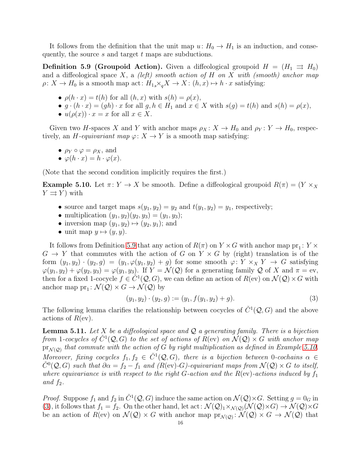It follows from the definition that the unit map  $u: H_0 \to H_1$  is an induction, and consequently, the source  $s$  and target  $t$  maps are subductions.

<span id="page-15-0"></span>**Definition 5.9 (Groupoid Action).** Given a diffeological groupoid  $H = (H_1 \Rightarrow H_0)$ and a diffeological space X, a (left) smooth action of H on X with (smooth) anchor map  $\rho: X \to H_0$  is a smooth map act:  $H_{1s} \times_{q} X \to X: (h, x) \mapsto h \cdot x$  satisfying:

- $\rho(h \cdot x) = t(h)$  for all  $(h, x)$  with  $s(h) = \rho(x)$ ,
- $g \cdot (h \cdot x) = (gh) \cdot x$  for all  $g, h \in H_1$  and  $x \in X$  with  $s(g) = t(h)$  and  $s(h) = \rho(x)$ ,
- $u(\rho(x)) \cdot x = x$  for all  $x \in X$ .

Given two H-spaces X and Y with anchor maps  $\rho_X : X \to H_0$  and  $\rho_Y : Y \to H_0$ , respectively, an H-equivariant map  $\varphi: X \to Y$  is a smooth map satisfying:

- $\rho_Y \circ \varphi = \rho_X$ , and
- $\varphi(h \cdot x) = h \cdot \varphi(x)$ .

(Note that the second condition implicitly requires the first.)

<span id="page-15-1"></span>**Example 5.10.** Let  $\pi: Y \to X$  be smooth. Define a diffeological groupoid  $R(\pi) = (Y \times_X \mathbb{R})$  $Y \rightrightarrows Y$  with

- source and target maps  $s(y_1, y_2) = y_2$  and  $t(y_1, y_2) = y_1$ , respectively;
- multiplication  $(y_1, y_2)(y_2, y_3) = (y_1, y_3);$
- inversion map  $(y_1, y_2) \mapsto (y_2, y_1)$ ; and
- unit map  $y \mapsto (y, y)$ .

It follows from Definition [5.9](#page-15-0) that any action of  $R(\pi)$  on  $Y \times G$  with anchor map  $pr_1: Y \times$  $G \to Y$  that commutes with the action of G on  $Y \times G$  by (right) translation is of the form  $(y_1, y_2) \cdot (y_2, g) = (y_1, \varphi(y_1, y_2) + g)$  for some smooth  $\varphi \colon Y \times_X Y \to G$  satisfying  $\varphi(y_1, y_2) + \varphi(y_2, y_3) = \varphi(y_1, y_3)$ . If  $Y = \mathcal{N}(\mathcal{Q})$  for a generating family  $\mathcal Q$  of X and  $\pi = \text{ev}$ , then for a fixed 1-cocycle  $f \in \check{C}^1(\mathcal{Q}, G)$ , we can define an action of  $R(\text{ev})$  on  $\mathcal{N}(\mathcal{Q}) \times G$  with anchor map  $pr_1: \mathcal{N}(\mathcal{Q}) \times G \to \mathcal{N}(\mathcal{Q})$  by

<span id="page-15-2"></span>
$$
(y_1, y_2) \cdot (y_2, g) := (y_1, f(y_1, y_2) + g). \tag{3}
$$

The following lemma clarifies the relationship between cocycles of  $\check{C}^1(\mathcal{Q}, G)$  and the above actions of  $R(\text{ev})$ .

<span id="page-15-3"></span>**Lemma 5.11.** Let X be a diffeological space and  $Q$  a generating family. There is a bijection from 1-cocycles of  $\check{C}^1(\mathcal{Q},G)$  to the set of actions of  $R$ (ev) on  $\check{\mathcal{N}}(\mathcal{Q}) \times G$  with anchor map  $\mathrm{pr}_{\mathcal{N}(\mathcal{Q})}$  that commute with the action of G by right multiplication as defined in Example [5.10.](#page-15-1) Moreover, fixing cocycles  $f_1, f_2 \in \check{C}^1(\mathcal{Q}, G)$ , there is a bijection between 0-cochains  $\alpha \in$  $\check{C}^0(\mathcal{Q}, G)$  such that  $\partial \alpha = f_2 - f_1$  and  $(R(w)-G)$ -equivariant maps from  $\mathcal{N}(\mathcal{Q}) \times G$  to itself, where equivariance is with respect to the right G-action and the  $R$ (ev)-actions induced by  $f_1$ and  $f_2$ .

*Proof.* Suppose  $f_1$  and  $f_2$  in  $\check{C}^1(\mathcal{Q}, G)$  induce the same action on  $\mathcal{N}(\mathcal{Q}) \times G$ . Setting  $g = 0_G$  in [\(3\)](#page-15-2), it follows that  $f_1 = f_2$ . On the other hand, let act:  $\mathcal{N}(\mathcal{Q})_1 \times_{\mathcal{N}(\mathcal{Q})} (\mathcal{N}(\mathcal{Q}) \times G) \to \mathcal{N}(\mathcal{Q}) \times G$ be an action of  $R(\text{ev})$  on  $\mathcal{N}(\mathcal{Q}) \times G$  with anchor map  $\text{pr}_{\mathcal{N}(\mathcal{Q})} \colon \mathcal{N}(\mathcal{Q}) \times G \to \mathcal{N}(\mathcal{Q})$  that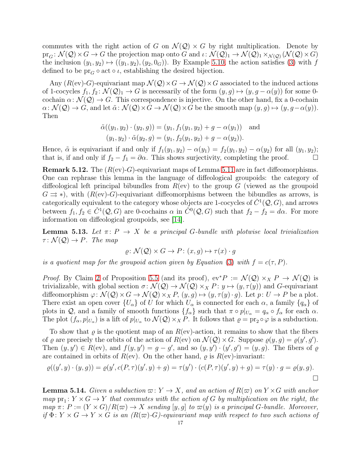commutes with the right action of G on  $\mathcal{N}(Q) \times G$  by right multiplication. Denote by  $pr_G: \mathcal{N}(\mathcal{Q}) \times G \to G$  the projection map onto G and  $\iota: \mathcal{N}(\mathcal{Q})_1 \to \mathcal{N}(\mathcal{Q})_1 \times_{\mathcal{N}(\mathcal{Q})} (\mathcal{N}(\mathcal{Q}) \times G)$ the inclusion  $(y_1, y_2) \mapsto ((y_1, y_2), (y_2, 0_G))$ . By Example [5.10,](#page-15-1) the action satisfies [\(3\)](#page-15-2) with f defined to be  $pr_G \circ act \circ \iota$ , establishing the desired bijection.

Any  $(R(w)-G)$ -equivariant map  $\mathcal{N}(Q) \times G \to \mathcal{N}(Q) \times G$  associated to the induced actions of 1-cocycles  $f_1, f_2 \colon \mathcal{N}(\mathcal{Q})_1 \to G$  is necessarily of the form  $(y, g) \mapsto (y, g - \alpha(y))$  for some 0cochain  $\alpha \colon \mathcal{N}(\mathcal{Q}) \to G$ . This correspondence is injective. On the other hand, fix a 0-cochain  $\alpha\colon \mathcal{N}(\mathcal{Q})\to G$ , and let  $\tilde{\alpha}\colon \mathcal{N}(\mathcal{Q})\times G\to \mathcal{N}(\mathcal{Q})\times G$  be the smooth map  $(y, g)\mapsto (y, g-\alpha(y)).$ Then

$$
\tilde{\alpha}((y_1, y_2) \cdot (y_2, g)) = (y_1, f_1(y_1, y_2) + g - \alpha(y_1)) \text{ and } (y_1, y_2) \cdot \tilde{\alpha}(y_2, g) = (y_1, f_2(y_1, y_2) + g - \alpha(y_2)).
$$

Hence,  $\tilde{\alpha}$  is equivariant if and only if  $f_1(y_1, y_2) - \alpha(y_1) = f_2(y_1, y_2) - \alpha(y_2)$  for all  $(y_1, y_2)$ ; that is, if and only if  $f_2 - f_1 = \partial \alpha$ . This shows surjectivity, completing the proof.

<span id="page-16-0"></span>**Remark 5.12.** The  $(R(w)-G)$ -equivariant maps of Lemma [5.11](#page-15-3) are in fact diffeomorphisms. One can rephrase this lemma in the language of diffeological groupoids: the category of diffeological left principal bibundles from  $R$ (ev) to the group G (viewed as the groupoid  $G \rightrightarrows$ ), with  $(R(w)-G)$ -equivariant diffeomorphisms between the bibundles as arrows, is categorically equivalent to the category whose objects are 1-cocycles of  $\check{C}^1(\mathcal{Q},G)$ , and arrows between  $f_1, f_2 \in \check{C}^1(\mathcal{Q}, G)$  are 0-cochains  $\alpha$  in  $\check{C}^0(\mathcal{Q}, G)$  such that  $f_2 - f_2 = d\alpha$ . For more information on diffeological groupoids, see [\[14\]](#page-24-2).

<span id="page-16-2"></span>**Lemma 5.13.** Let  $\pi: P \to X$  be a principal G-bundle with plotwise local trivialization  $\tau \colon \mathcal{N}(\mathcal{Q}) \to P$ . The map

$$
\varrho \colon \mathcal{N}(\mathcal{Q}) \times G \to P \colon (x, g) \mapsto \tau(x) \cdot g
$$

is a quotient map for the groupoid action given by Equation [\(3\)](#page-15-2) with  $f = c(\tau, P)$ .

*Proof.* By Claim [2](#page-14-3) of Proposition [5.5](#page-14-1) (and its proof),  $ev^*P := \mathcal{N}(Q) \times_X P \to \mathcal{N}(Q)$  is trivializable, with global section  $\sigma \colon \mathcal{N}(\mathcal{Q}) \to \mathcal{N}(\mathcal{Q}) \times_X P \colon y \mapsto (y, \tau(y))$  and G-equivariant diffeomorphism  $\varphi \colon \mathcal{N}(\mathcal{Q}) \times G \to \mathcal{N}(\mathcal{Q}) \times_X P$ ,  $(y, g) \mapsto (y, \tau(y) \cdot g)$ . Let  $p: U \to P$  be a plot. There exist an open cover  $\{U_{\alpha}\}\$  of U for which  $U_{\alpha}$  is connected for each  $\alpha$ , a family  $\{q_{\alpha}\}\$  of plots in Q, and a family of smooth functions  $\{f_{\alpha}\}\$  such that  $\pi \circ p|_{U_{\alpha}} = q_{\alpha} \circ f_{\alpha}$  for each  $\alpha$ . The plot  $(f_{\alpha}, p|_{U_{\alpha}})$  is a lift of  $p|_{U_{\alpha}}$  to  $\mathcal{N}(\mathcal{Q}) \times_{X} P$ . It follows that  $\varrho = \text{pr}_2 \circ \varphi$  is a subduction.

To show that  $\rho$  is the quotient map of an  $R(w)$ -action, it remains to show that the fibers of  $\varrho$  are precisely the orbits of the action of  $R(\text{ev})$  on  $\mathcal{N}(\mathcal{Q}) \times G$ . Suppose  $\varrho(y, g) = \varrho(y', g')$ . Then  $(y, y') \in R$ (ev), and  $f(y, y') = g - g'$ , and so  $(y, y') \cdot (y', g') = (y, g)$ . The fibers of  $\varrho$ are contained in orbits of  $R(ev)$ . On the other hand,  $\rho$  is  $R(ev)$ -invariant:

$$
\varrho((y', y) \cdot (y, g)) = \varrho(y', c(P, \tau)(y', y) + g) = \tau(y') \cdot (c(P, \tau)(y', y) + g) = \tau(y) \cdot g = \varrho(y, g).
$$

<span id="page-16-1"></span>**Lemma 5.14.** Given a subduction  $\varpi: Y \to X$ , and an action of  $R(\varpi)$  on  $Y \times G$  with anchor map  $pr_1: Y \times G \to Y$  that commutes with the action of G by multiplication on the right, the map  $\pi: P := (Y \times G)/R(\varpi) \to X$  sending  $[y, g]$  to  $\varpi(y)$  is a principal G-bundle. Moreover, if  $\Phi: Y \times G \to Y \times G$  is an  $(R(\varpi)-G)$ -equivariant map with respect to two such actions of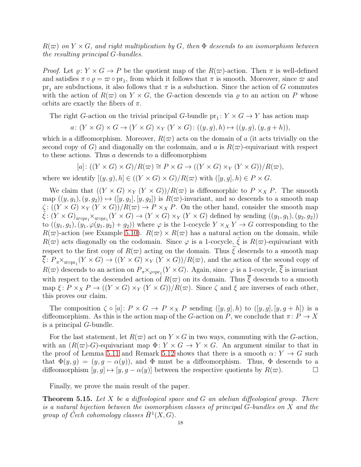$R(\varpi)$  on  $Y \times G$ , and right multiplication by G, then  $\Phi$  descends to an isomorphism between the resulting principal G-bundles.

*Proof.* Let  $\varrho: Y \times G \to P$  be the quotient map of the  $R(\varpi)$ -action. Then  $\pi$  is well-defined and satisfies  $\pi \circ \varrho = \varpi \circ pr_1$ , from which it follows that  $\pi$  is smooth. Moreover, since  $\varpi$  and  $pr_1$  are subductions, it also follows that  $\pi$  is a subduction. Since the action of G commutes with the action of  $R(\varpi)$  on  $Y \times G$ , the G-action descends via  $\varrho$  to an action on P whose orbits are exactly the fibers of  $\pi$ .

The right G-action on the trivial principal G-bundle  $pr_1: Y \times G \to Y$  has action map

$$
a\colon (Y\times G)\times G\to (Y\times G)\times_Y(Y\times G)\colon ((y,g),h)\mapsto ((y,g),(y,g+h)),
$$

which is a diffeomorphism. Moreover,  $R(\varpi)$  acts on the domain of a (it acts trivially on the second copy of G) and diagonally on the codomain, and a is  $R(\varpi)$ -equivariant with respect to these actions. Thus a descends to a diffeomorphism

$$
[a]: ((Y \times G) \times G)/R(\varpi) \cong P \times G \to ((Y \times G) \times_Y (Y \times G))/R(\varpi),
$$

where we identify  $[(y, g), h] \in ((Y \times G) \times G)/R(\varpi)$  with  $([y, g], h) \in P \times G$ .

We claim that  $((Y \times G) \times_Y (Y \times G))/R(\varpi)$  is diffeomorphic to  $P \times_X P$ . The smooth map  $((y, g_1), (y, g_2)) \mapsto ([y, g_1], [y, g_2])$  is  $R(\varpi)$ -invariant, and so descends to a smooth map  $\zeta: ((Y \times G) \times_Y (Y \times G))/R(\varpi) \to P \times_X P$ . On the other hand, consider the smooth map  $\tilde{\xi}$ :  $(Y \times G)_{\varpi \circ pr_1} \times_{\varpi \circ pr_1} (Y \times G) \to (Y \times G) \times_Y (Y \times G)$  defined by sending  $((y_1, g_1), (y_2, g_2))$ to  $((y_1, g_1), (y_1, \varphi(y_1, y_2) + g_2))$  where  $\varphi$  is the 1-cocycle  $Y \times_X Y \to G$  corresponding to the  $R(\varpi)$ -action (see Example [5.10\)](#page-15-1).  $R(\varpi) \times R(\varpi)$  has a natural action on the domain, while  $R(\varpi)$  acts diagonally on the codomain. Since  $\varphi$  is a 1-cocycle,  $\tilde{\xi}$  is  $R(\varpi)$ -equivariant with respect to the first copy of  $R(\varpi)$  acting on the domain. Thus  $\zeta$  descends to a smooth map  $\overline{\xi}: P_{\pi} \times_{\varpi \circ pr_1}(Y \times G) \to ((Y \times G) \times_Y (Y \times G))/R(\varpi)$ , and the action of the second copy of  $R(\varpi)$  descends to an action on  $P_{\pi} \times_{\varphi \circ pr_1}(Y \times G)$ . Again, since  $\varphi$  is a 1-cocycle,  $\xi$  is invariant with respect to the descended action of  $R(\varpi)$  on its domain. Thus  $\overline{\xi}$  descends to a smooth map  $\xi \colon P \times_X P \to ((Y \times G) \times_Y (Y \times G))/R(\varpi)$ . Since  $\zeta$  and  $\xi$  are inverses of each other, this proves our claim.

The composition  $\zeta \circ [a]: P \times G \to P \times_X P$  sending  $([y, g], h)$  to  $([y, g], [y, g+h])$  is a diffeomorphism. As this is the action map of the G-action on P, we conclude that  $\pi: P \to X$ is a principal G-bundle.

For the last statement, let  $R(\varpi)$  act on  $Y \times G$  in two ways, commuting with the G-action, with an  $(R(\varpi)-G)$ -equivariant map  $\Phi: Y \times G \to Y \times G$ . An argument similar to that in the proof of Lemma [5.11](#page-15-3) and Remark [5.12](#page-16-0) shows that there is a smooth  $\alpha: Y \to G$  such that  $\Phi(y, g) = (y, g - \alpha(y))$ , and  $\Phi$  must be a diffeomorphism. Thus,  $\Phi$  descends to a diffeomorphism  $[y, g] \mapsto [y, g - \alpha(y)]$  between the respective quotients by  $R(\varpi)$ .

Finally, we prove the main result of the paper.

<span id="page-17-0"></span>**Theorem 5.15.** Let X be a diffeological space and G an abelian diffeological group. There is a natural bijection between the isomorphism classes of principal G-bundles on X and the group of Čech cohomology classes  $\check{H}^1(X, G)$ .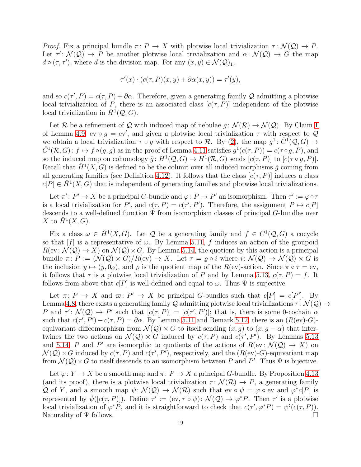Proof. Fix a principal bundle  $\pi: P \to X$  with plotwise local trivialization  $\tau: \mathcal{N}(\mathcal{Q}) \to P$ . Let  $\tau' \colon \mathcal{N}(\mathcal{Q}) \to P$  be another plotwise local trivialization and  $\alpha \colon \mathcal{N}(\mathcal{Q}) \to G$  the map  $d \circ (\tau, \tau')$ , where d is the division map. For any  $(x, y) \in \mathcal{N}(\mathcal{Q})_1$ ,

$$
\tau'(x) \cdot (c(\tau, P)(x, y) + \partial \alpha(x, y)) = \tau'(y),
$$

and so  $c(\tau', P) = c(\tau, P) + \partial \alpha$ . Therefore, given a generating family Q admitting a plotwise local trivialization of P, there is an associated class  $[c(\tau, P)]$  independent of the plotwise local trivialization in  $\check{H}^1(\mathcal{Q}, G)$ .

Let R be a refinement of Q with induced map of nebulae  $q: \mathcal{N}(\mathcal{R}) \to \mathcal{N}(\mathcal{Q})$ . By Claim [1](#page-10-1) of Lemma [4.9,](#page-10-2) ev  $\circ$  g = ev', and given a plotwise local trivialization  $\tau$  with respect to  $\mathcal{Q}$ we obtain a local trivialization  $\tau \circ g$  with respect to R. By [\(2\)](#page-14-2), the map  $g^1: \check{C}^1(\mathcal{Q}, G) \to$  $\check{C}^1(\mathcal{R},G)$ :  $f \mapsto f \circ (g,g)$  as in the proof of Lemma [4.11](#page-11-0) satisfies  $g^1(c(\tau, P)) = c(\tau \circ g, P)$ , and so the induced map on cohomology  $\check{g} \colon \check{H}^1(\mathcal{Q}, G) \to \check{H}^1(\mathcal{R}, G)$  sends  $[c(\tau, P)]$  to  $[c(\tau \circ g, P)]$ . Recall that  $\check{H}^1(X, G)$  is defined to be the colimit over all induced morphisms  $\check{g}$  coming from all generating families (see Definition [4.12\)](#page-11-2). It follows that the class  $[c(\tau, P)]$  induces a class  $c[P] \in \check{H}^1(X, G)$  that is independent of generating families and plotwise local trivializations.

Let  $\pi' : P' \to X$  be a principal G-bundle and  $\varphi : P \to P'$  an isomorphism. Then  $\tau' := \varphi \circ \tau$ is a local trivialization for P', and  $c(\tau, P) = c(\tau', P')$ . Therefore, the assignment  $P \mapsto c[P]$ descends to a well-defined function  $\Psi$  from isomorphism classes of principal G-bundles over X to  $\check{H}^1(X, G)$ .

Fix a class  $\omega \in \check{H}^1(X, G)$ . Let  $\mathcal Q$  be a generating family and  $f \in \check{C}^1(\mathcal Q, G)$  a cocycle so that  $[f]$  is a representative of  $\omega$ . By Lemma [5.11,](#page-15-3) f induces an action of the groupoid  $R(\text{ev}: \mathcal{N}(\mathcal{Q}) \to X)$  on  $\mathcal{N}(\mathcal{Q}) \times G$ . By Lemma [5.14,](#page-16-1) the quotient by this action is a principal bundle  $\pi: P := (\mathcal{N}(\mathcal{Q}) \times G)/R(\text{ev}) \to X$ . Let  $\tau = \rho \circ i$  where  $i: \mathcal{N}(\mathcal{Q}) \to \mathcal{N}(\mathcal{Q}) \times G$  is the inclusion  $y \mapsto (y, 0_G)$ , and  $\rho$  is the quotient map of the  $R(\text{ev})$ -action. Since  $\pi \circ \tau = \text{ev}$ , it follows that  $\tau$  is a plotwise local trivialization of P and by Lemma [5.13,](#page-16-2)  $c(\tau, P) = f$ . It follows from above that  $c[P]$  is well-defined and equal to  $\omega$ . Thus  $\Psi$  is surjective.

Let  $\pi: P \to X$  and  $\varpi: P' \to X$  be principal G-bundles such that  $c[P] = c[P']$ . By Lemma [4.8,](#page-10-3) there exists a generating family Q admitting plotwise local trivializations  $\tau \colon \mathcal{N}(\mathcal{Q}) \to$ P and  $\tau' : \mathcal{N}(\mathcal{Q}) \to P'$  such that  $[c(\tau, P)] = [c(\tau', P')]$ ; that is, there is some 0-cochain  $\alpha$ such that  $c(\tau', P') - c(\tau, P) = \partial \alpha$ . By Lemma [5.11](#page-15-3) and Remark [5.12,](#page-16-0) there is an  $(R(w)-G)$ equivariant diffeomorphism from  $\mathcal{N}(Q) \times G$  to itself sending  $(x, g)$  to  $(x, g - \alpha)$  that intertwines the two actions on  $\mathcal{N}(\mathcal{Q}) \times G$  induced by  $c(\tau, P)$  and  $c(\tau', P')$ . By Lemmas [5.13](#page-16-2) and [5.14,](#page-16-1) P and P' are isomorphic to quotients of the actions of  $R(\text{ev}: \mathcal{N}(\mathcal{Q}) \to X)$  on  $\mathcal{N}(\mathcal{Q}) \times G$  induced by  $c(\tau, P)$  and  $c(\tau', P')$ , respectively, and the  $(R(w)-G)$ -equivariant map from  $\mathcal{N}(\mathcal{Q}) \times G$  to itself descends to an isomorphism between P and P'. Thus  $\Psi$  is bijective.

Let  $\varphi: Y \to X$  be a smooth map and  $\pi: P \to X$  a principal G-bundle. By Proposition [4.13](#page-11-1) (and its proof), there is a plotwise local trivialization  $\tau \colon \mathcal{N}(\mathcal{R}) \to P$ , a generating family Q of Y, and a smooth map  $\psi \colon \mathcal{N}(\mathcal{Q}) \to \mathcal{N}(\mathcal{R})$  such that  $ev \circ \psi = \varphi \circ ev$  and  $\varphi^* c[P]$  is represented by  $\check{\psi}([c(\tau, P)])$ . Define  $\tau' := (\text{ev}, \tau \circ \psi) : \mathcal{N}(\mathcal{Q}) \to \varphi^* P$ . Then  $\tau'$  is a plotwise local trivialization of  $\varphi^* P$ , and it is straightforward to check that  $c(\tau', \varphi^* P) = \psi^{\sharp}(c(\tau, P)).$ Naturality of  $\Psi$  follows.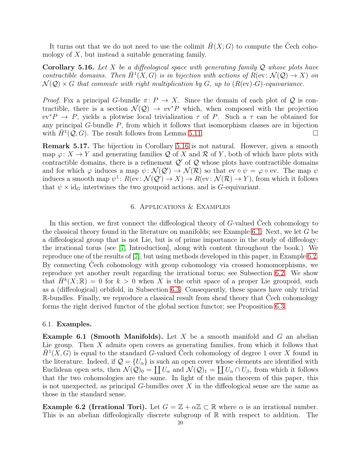It turns out that we do not need to use the colimit  $H(X; G)$  to compute the Cech cohomology of  $X$ , but instead a suitable generating family.

<span id="page-19-0"></span>**Corollary 5.16.** Let X be a diffeological space with generating family  $Q$  whose plots have contractible domains. Then  $\check{H}^1(X, G)$  is in bijection with actions of  $R(\mathrm{ev}: \mathcal{N}(\mathcal{Q}) \to X)$  on  $\mathcal{N}(\mathcal{Q}) \times G$  that commute with right multiplication by G, up to  $(R(w)-G)$ -equivariance.

*Proof.* Fix a principal G-bundle  $\pi: P \to X$ . Since the domain of each plot of Q is contractible, there is a section  $\mathcal{N}(Q) \to \text{ev}^*P$  which, when composed with the projection  $ev^*P \to P$ , yields a plotwise local trivialization  $\tau$  of P. Such a  $\tau$  can be obtained for any principal G-bundle P, from which it follows that isomorphism classes are in bijection with  $\check{H}^1(\mathcal{Q}, G)$ . The result follows from Lemma [5.11.](#page-15-3)

Remark 5.17. The bijection in Corollary [5.16](#page-19-0) is not natural. However, given a smooth map  $\varphi: X \to Y$  and generating families Q of X and R of Y, both of which have plots with contractible domains, there is a refinement  $Q'$  of  $Q$  whose plots have contractible domains and for which  $\varphi$  induces a map  $\psi \colon \mathcal{N}(\mathcal{Q}') \to \mathcal{N}(\mathcal{R})$  so that ev  $\circ \psi = \varphi \circ \text{ev}$ . The map  $\psi$ induces a smooth map  $\psi^1: R(\text{ev}: \mathcal{N}(\mathcal{Q}') \to X) \to R(\text{ev}: \mathcal{N}(\mathcal{R}) \to Y)$ , from which it follows that  $\psi \times id_G$  intertwines the two groupoid actions, and is G-equivariant.

### 6. Applications & Examples

<span id="page-19-1"></span>In this section, we first connect the diffeological theory of G-valued Cech cohomology to the classical theory found in the literature on manifolds; see Example [6.1.](#page-19-2) Next, we let G be a diffeological group that is not Lie, but is of prime importance in the study of diffeology: the irrational torus (see [\[7,](#page-23-7) Introduction], along with content throughout the book.) We reproduce one of the results of [\[7\]](#page-23-7), but using methods developed in this paper, in Example [6.2.](#page-19-3) By connecting Čech cohomology with group cohomology via crossed homomorphisms, we reproduce yet another result regarding the irrational torus; see Subsection [6.2.](#page-20-0) We show that  $\check{H}^k(X;\mathbb{R}) = 0$  for  $k > 0$  when X is the orbit space of a proper Lie groupoid, such as a (diffeological) orbifold, in Subsection [6.3.](#page-21-0) Consequently, these spaces have only trivial R-bundles. Finally, we reproduce a classical result from sheaf theory that Čech cohomology forms the right derived functor of the global section functor; see Proposition [6.3.](#page-22-0)

### 6.1. Examples.

<span id="page-19-2"></span>**Example 6.1 (Smooth Manifolds).** Let  $X$  be a smooth manifold and  $G$  an abelian Lie group. Then  $X$  admits open covers as generating families, from which it follows that  $\check{H}^1(X, G)$  is equal to the standard G-valued Cech cohomology of degree 1 over X found in the literature. Indeed, if  $\mathcal{Q} = \{U_{\alpha}\}\$ is such an open cover whose elements are identified with Euclidean open sets, then  $\mathcal{N}(\mathcal{Q})_0 = \coprod U_\alpha$  and  $\mathcal{N}(\mathcal{Q})_1 = \coprod U_\alpha \cap U_\beta$ , from which it follows that the two cohomologies are the same. In light of the main theorem of this paper, this is not unexpected, as principal  $G$ -bundles over  $X$  in the diffeological sense are the same as those in the standard sense.

<span id="page-19-3"></span>**Example 6.2 (Irrational Tori).** Let  $G = \mathbb{Z} + \alpha \mathbb{Z} \subset \mathbb{R}$  where  $\alpha$  is an irrational number. This is an abelian diffeologically discrete subgroup of  $\mathbb R$  with respect to addition. The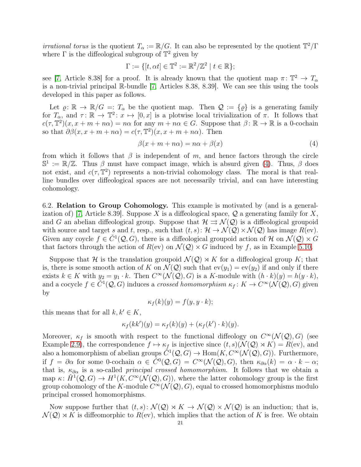*irrational torus* is the quotient  $T_{\alpha} := \mathbb{R}/G$ . It can also be represented by the quotient  $\mathbb{T}^2/\Gamma$ where  $\Gamma$  is the diffeological subgroup of  $\mathbb{T}^2$  given by

$$
\Gamma := \{ [t, \alpha t] \in \mathbb{T}^2 := \mathbb{R}^2 / \mathbb{Z}^2 \mid t \in \mathbb{R} \};
$$

see [\[7,](#page-23-7) Article 8.38] for a proof. It is already known that the quotient map  $\pi: \mathbb{T}^2 \to T_{\alpha}$ is a non-trivial principal R-bundle [\[7,](#page-23-7) Articles 8.38, 8.39]. We can see this using the tools developed in this paper as follows.

Let  $\varrho: \mathbb{R} \to \mathbb{R}/G =: T_\alpha$  be the quotient map. Then  $\mathcal{Q} := {\varrho}$  is a generating family for  $T_{\alpha}$ , and  $\tau \colon \mathbb{R} \to \mathbb{T}^2 \colon x \mapsto [0, x]$  is a plotwise local trivialization of  $\pi$ . It follows that  $c(\tau, \mathbb{T}^2)(x, x + m + n\alpha) = n\alpha$  for any  $m + n\alpha \in G$ . Suppose that  $\beta \colon \mathbb{R} \to \mathbb{R}$  is a 0-cochain so that  $\partial \beta(x, x + m + n\alpha) = c(\tau, \mathbb{T}^2)(x, x + m + n\alpha)$ . Then

<span id="page-20-1"></span>
$$
\beta(x + m + n\alpha) = n\alpha + \beta(x) \tag{4}
$$

from which it follows that  $\beta$  is independent of m, and hence factors through the circle  $\mathbb{S}^1 := \mathbb{R}/\mathbb{Z}$ . Thus  $\beta$  must have compact image, which is absurd given [\(4\)](#page-20-1). Thus,  $\beta$  does not exist, and  $c(\tau, \mathbb{T}^2)$  represents a non-trivial cohomology class. The moral is that realline bundles over diffeological spaces are not necessarily trivial, and can have interesting cohomology.

<span id="page-20-0"></span>6.2. Relation to Group Cohomology. This example is motivated by (and is a general-ization of) [\[7,](#page-23-7) Article 8.39]. Suppose X is a diffeological space,  $Q$  a generating family for X, and G an abelian diffeological group. Suppose that  $\mathcal{H} \rightrightarrows \mathcal{N}(\mathcal{Q})$  is a diffeological groupoid with source and target s and t, resp., such that  $(t, s): \mathcal{H} \to \mathcal{N}(\mathcal{Q}) \times \mathcal{N}(\mathcal{Q})$  has image  $R(\text{ev})$ . Given any coycle  $f \in \check{C}^1(\mathcal{Q}, G)$ , there is a diffeological groupoid action of H on  $\mathcal{N}(\mathcal{Q}) \times G$ that factors through the action of  $R$ (ev) on  $\mathcal{N}(Q) \times G$  induced by f, as in Example [5.10.](#page-15-1)

Suppose that H is the translation groupoid  $\mathcal{N}(Q) \rtimes K$  for a diffeological group K; that is, there is some smooth action of K on  $\mathcal{N}(Q)$  such that  $ev(y_1) = ev(y_2)$  if and only if there exists  $k \in K$  with  $y_2 = y_1 \cdot k$ . Then  $C^{\infty}(\mathcal{N}(\mathcal{Q}), G)$  is a K-module with  $(h \cdot k)(y) = h(y \cdot k)$ , and a cocycle  $f \in C^1(Q, G)$  induces a *crossed homomorphism*  $\kappa_f: K \to C^\infty(\mathcal{N}(Q), G)$  given by

$$
\kappa_f(k)(y) = f(y, y \cdot k);
$$

this means that for all  $k, k' \in K$ ,

$$
\kappa_f(kk')(y) = \kappa_f(k)(y) + (\kappa_f(k') \cdot k)(y).
$$

Moreover,  $\kappa_f$  is smooth with respect to the functional diffeology on  $C^{\infty}(\mathcal{N}(\mathcal{Q}), G)$  (see Example [2.9\)](#page-4-1), the correspondence  $f \mapsto \kappa_f$  is injective since  $(t, s)(\mathcal{N}(\mathcal{Q}) \rtimes K) = R(\text{ev})$ , and also a homomorphism of abelian groups  $\check{C}^1(\mathcal{Q}, G) \to \text{Hom}(K, C^{\infty}(\mathcal{N}(\mathcal{Q}), G))$ . Furthermore, if  $f = \partial \alpha$  for some 0-cochain  $\alpha \in \check{C}^0(\mathcal{Q}, G) = C^\infty(\mathcal{N}(\mathcal{Q}), G)$ , then  $\kappa_{\partial \alpha}(k) = \alpha \cdot k - \alpha;$ that is,  $\kappa_{\partial\alpha}$  is a so-called *principal crossed homomorphism*. It follows that we obtain a map  $\kappa: \check{H}^1(\mathcal{Q}, G) \to H^1(K, C^{\infty}(\mathcal{N}(\mathcal{Q}), G))$ , where the latter cohomology group is the first group cohomology of the K-module  $C^{\infty}(\mathcal{N}(\mathcal{Q}), G)$ , equal to crossed homomorphisms modulo principal crossed homomorphisms.

Now suppose further that  $(t, s): \mathcal{N}(\mathcal{Q}) \rtimes K \to \mathcal{N}(\mathcal{Q}) \times \mathcal{N}(\mathcal{Q})$  is an induction; that is,  $\mathcal{N}(\mathcal{Q}) \rtimes K$  is diffeomorphic to  $R(\text{ev})$ , which implies that the action of K is free. We obtain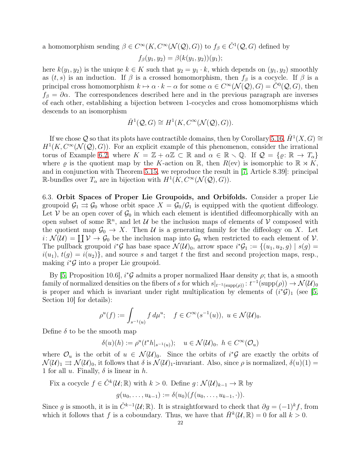a homomorphism sending  $\beta \in C^{\infty}(K, C^{\infty}(\mathcal{N}(\mathcal{Q}), G))$  to  $f_{\beta} \in C^{1}(\mathcal{Q}, G)$  defined by

$$
f_{\beta}(y_1, y_2) = \beta(k(y_1, y_2))(y_1);
$$

here  $k(y_1, y_2)$  is the unique  $k \in K$  such that  $y_2 = y_1 \cdot k$ , which depends on  $(y_1, y_2)$  smoothly as  $(t, s)$  is an induction. If  $\beta$  is a crossed homomorphism, then  $f_{\beta}$  is a cocycle. If  $\beta$  is a principal cross homomorphism  $k \mapsto \alpha \cdot k - \alpha$  for some  $\alpha \in C^{\infty}(\mathcal{N}(\mathcal{Q}), G) = \check{C}^{0}(\mathcal{Q}, G)$ , then  $f_\beta = \partial \alpha$ . The correspondences described here and in the previous paragraph are inverses of each other, establishing a bijection between 1-cocycles and cross homomorphisms which descends to an isomorphism

$$
\check{H}^1(\mathcal{Q}, G) \cong H^1(K, C^{\infty}(\mathcal{N}(\mathcal{Q}), G)).
$$

If we chose  $\mathcal Q$  so that its plots have contractible domains, then by Corollary [5.16,](#page-19-0)  $\check{H}^1(X, G) \cong$  $H<sup>1</sup>(K, C<sup>\infty</sup>(\mathcal{N}(\mathcal{Q}), G))$ . For an explicit example of this phenomenon, consider the irrational torus of Example [6.2,](#page-19-3) where  $K = \mathbb{Z} + \alpha \mathbb{Z} \subset \mathbb{R}$  and  $\alpha \in \mathbb{R} \setminus \mathbb{Q}$ . If  $\mathcal{Q} = \{ \varrho : \mathbb{R} \to T_{\alpha} \}$ where  $\varrho$  is the quotient map by the K-action on R, then  $R(\text{ev})$  is isomorphic to  $\mathbb{R} \rtimes K$ , and in conjunction with Theorem [5.15,](#page-17-0) we reproduce the result in [\[7,](#page-23-7) Article 8.39]: principal R-bundles over  $T_{\alpha}$  are in bijection with  $H^1(K, C^{\infty}(\mathcal{N}(\mathcal{Q}), G)).$ 

<span id="page-21-0"></span>6.3. Orbit Spaces of Proper Lie Groupoids, and Orbifolds. Consider a proper Lie groupoid  $\mathcal{G}_1 \rightrightarrows \mathcal{G}_0$  whose orbit space  $X = \mathcal{G}_0/\mathcal{G}_1$  is equipped with the quotient diffeology. Let V be an open cover of  $\mathcal{G}_0$  in which each element is identified diffeomorphically with an open subset of some  $\mathbb{R}^n$ , and let U be the inclusion maps of elements of V composed with the quotient map  $\mathcal{G}_0 \to X$ . Then U is a generating family for the diffeology on X. Let  $i: \mathcal{N}(\mathcal{U}) = \coprod \mathcal{V} \to \mathcal{G}_0$  be the inclusion map into  $\mathcal{G}_0$  when restricted to each element of  $\mathcal{V}$ . The pullback groupoid  $i^*\mathcal{G}$  has base space  $\mathcal{N}(\mathcal{U})_0$ , arrow space  $i^*\mathcal{G}_1 := \{(u_1, u_2, g) \mid s(g) =$  $i(u_1), t(g) = i(u_2)$ , and source s and target t the first and second projection maps, resp., making  $i^*\mathcal{G}$  into a proper Lie groupoid.

By [\[5,](#page-23-9) Proposition 10.6],  $i^*\mathcal{G}$  admits a proper normalized Haar density  $\rho$ ; that is, a smooth family of normalized densities on the fibers of s for which  $s|_{t^{-1}(\text{supp}(\rho))} : t^{-1}(\text{supp}(\rho)) \to \mathcal{N}(\mathcal{U})_0$ is proper and which is invariant under right multiplication by elements of  $(i^*\mathcal{G})_1$  (see [\[5,](#page-23-9) Section 10 for details):

$$
\rho^u(f):=\int_{s^{-1}(u)} f\, d\mu^u;\quad f\in C^\infty(s^{-1}(u)),\,\, u\in \mathcal{N}(\mathcal{U})_0.
$$

Define  $\delta$  to be the smooth map

$$
\delta(u)(h) := \rho^u(t^*h|_{s^{-1}(u)}); \quad u \in \mathcal{N}(\mathcal{U})_0, \ h \in C^{\infty}(\mathcal{O}_u)
$$

where  $\mathcal{O}_u$  is the orbit of  $u \in \mathcal{N}(\mathcal{U})_0$ . Since the orbits of  $i^*\mathcal{G}$  are exactly the orbits of  $\mathcal{N}(\mathcal{U})_1 \rightrightarrows \mathcal{N}(\mathcal{U})_0$ , it follows that  $\delta$  is  $\mathcal{N}(\mathcal{U})_1$ -invariant. Also, since  $\rho$  is normalized,  $\delta(u)(1) =$ 1 for all u. Finally,  $\delta$  is linear in h.

Fix a cocycle  $f \in \check{C}^k(\mathcal{U}; \mathbb{R})$  with  $k > 0$ . Define  $g: \mathcal{N}(\mathcal{U})_{k-1} \to \mathbb{R}$  by  $g(u_0, \ldots, u_{k-1}) := \delta(u_0) (f(u_0, \ldots, u_{k-1}, \cdot)).$ 

Since g is smooth, it is in  $\check{C}^{k-1}(\mathcal{U};\mathbb{R})$ . It is straightforward to check that  $\partial g = (-1)^k f$ , from which it follows that f is a coboundary. Thus, we have that  $\check{H}^k(\mathcal{U}, \mathbb{R}) = 0$  for all  $k > 0$ .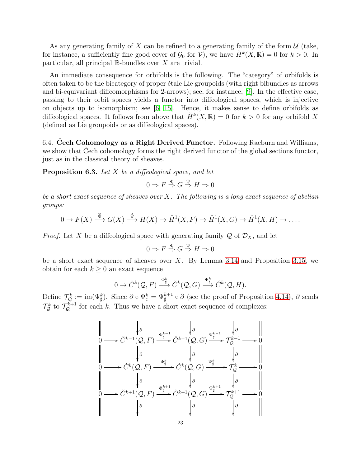As any generating family of X can be refined to a generating family of the form  $\mathcal U$  (take, for instance, a sufficiently fine good cover of  $\mathcal{G}_0$  for  $\mathcal{V}$ ), we have  $\check{H}^k(X,\mathbb{R})=0$  for  $k>0$ . In particular, all principal  $\mathbb R$ -bundles over X are trivial.

An immediate consequence for orbifolds is the following. The "category" of orbifolds is often taken to be the bicategory of proper étale Lie groupoids (with right bibundles as arrows and bi-equivariant diffeomorphisms for 2-arrows); see, for instance, [\[9\]](#page-23-10). In the effective case, passing to their orbit spaces yields a functor into diffeological spaces, which is injective on objects up to isomorphism; see [\[6,](#page-23-11) [15\]](#page-24-3). Hence, it makes sense to define orbifolds as diffeological spaces. It follows from above that  $\check{H}^k(X,\mathbb{R})=0$  for  $k>0$  for any orbifold X (defined as Lie groupoids or as diffeological spaces).

6.4. Čech Cohomology as a Right Derived Functor. Following Raeburn and Williams, we show that Cech cohomology forms the right derived functor of the global sections functor, just as in the classical theory of sheaves.

<span id="page-22-0"></span>**Proposition 6.3.** Let  $X$  be a diffeological space, and let

$$
0 \Rightarrow F \stackrel{\Phi}{\Rightarrow} G \stackrel{\Psi}{\Rightarrow} H \Rightarrow 0
$$

be a short exact sequence of sheaves over  $X$ . The following is a long exact sequence of abelian groups:

$$
0 \to F(X) \xrightarrow{\tilde{\Phi}} G(X) \xrightarrow{\tilde{\Psi}} H(X) \to \check{H}^1(X, F) \to \check{H}^1(X, G) \to \check{H}^1(X, H) \to \dots
$$

*Proof.* Let X be a diffeological space with generating family  $\mathcal Q$  of  $\mathcal D_X$ , and let

$$
0 \Rightarrow F \stackrel{\Phi}{\Rightarrow} G \stackrel{\Psi}{\Rightarrow} H \Rightarrow 0
$$

be a short exact sequence of sheaves over  $X$ . By Lemma [3.14](#page-7-1) and Proposition [3.15,](#page-7-0) we obtain for each  $k \geq 0$  an exact sequence

$$
0 \to \check{C}^k(\mathcal{Q}, F) \xrightarrow{\Phi_{\sharp}^k} \check{C}^k(\mathcal{Q}, G) \xrightarrow{\Psi_{\sharp}^k} \check{C}^k(\mathcal{Q}, H).
$$

Define  $\mathcal{T}_{\mathcal{Q}}^k := \text{im}(\Psi_{\sharp}^k)$ . Since  $\partial \circ \Psi_{\sharp}^k = \Psi_{\sharp}^{k+1} \circ \partial$  (see the proof of Proposition [4.14\)](#page-12-1),  $\partial$  sends  $\mathcal{T}_{\mathcal{Q}}^{k}$  to  $\mathcal{T}_{\mathcal{Q}}^{k+1}$  for each k. Thus we have a short exact sequence of complexes:

$$
\begin{array}{ccc}\n\begin{vmatrix}\n& & & & \\
& \rho & & & \\
0 & & & \frac{\varphi_{\sharp}^{k-1}}{2} \\
& & & \rho & \\
& & & \rho & \\
& & & \rho & \\
& & & & \frac{\varphi_{\sharp}^{k}}{2} \\
& & & & \frac{\varphi_{\sharp}^{k}}{2} \\
& & & & \frac{\varphi_{\sharp}^{k}}{2} \\
& & & & \frac{\varphi_{\sharp}^{k}}{2} \\
& & & & \frac{\varphi_{\sharp}^{k}}{2} \\
& & & & \frac{\varphi_{\sharp}^{k}}{2} \\
& & & & \frac{\varphi_{\sharp}^{k}}{2} \\
& & & & \frac{\varphi_{\sharp}^{k+1}}{2} \\
& & & & \frac{\varphi_{\sharp}^{k+1}}{2} \\
& & & & & \frac{\varphi_{\sharp}^{k+1}}{2} \\
& & & & & \frac{\varphi_{\sharp}^{k+1}}{2} \\
& & & & & \frac{\varphi_{\sharp}^{k+1}}{2} \\
& & & & & \frac{\varphi_{\sharp}^{k+1}}{2} \\
& & & & & \frac{\varphi_{\sharp}^{k+1}}{2} \\
& & & & & \frac{\varphi_{\sharp}^{k+1}}{2} \\
& & & & & \frac{\varphi_{\sharp}^{k+1}}{2} \\
& & & & & \frac{\varphi_{\sharp}^{k+1}}{2} \\
& & & & & \frac{\varphi_{\sharp}^{k+1}}{2} \\
& & & & & \frac{\varphi_{\sharp}^{k+1}}{2} \\
& & & & & & \frac{\varphi_{\sharp}^{k+1}}{2} \\
& & & & & & \frac{\varphi_{\sharp}^{k+1}}{2} \\
& & & & & & \frac{\varphi_{\sharp}^{k+1}}{2} \\
& & & & & & \frac{\varphi_{\sharp}^{k+1}}{2} \\
& & & & & & \frac{\varphi_{\sharp}^{k+1}}{2} \\
& & & & & & \frac{\varphi_{\sharp}^{k+1}}{2} \\
& & & & & & \frac{\varphi_{\sharp}^{k+1}}{2} \\
& & & & & & \frac{\varphi_{\sharp}^{k+1}}{2} \\
& & & & & & \frac{\varphi_{\sharp}^{k+1}}{2} \\
& & & & & & \frac{\varphi_{\sharp}^{k+1}}{2} \\
& & & & & & \frac{\varphi_{\sharp}^{k+1}}{2} \\
& & & & & & \frac{\varphi_{
$$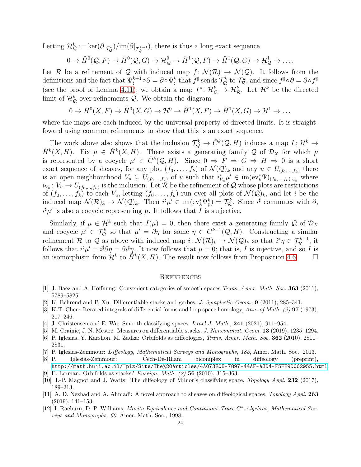Letting  $\mathcal{H}_{\mathcal{Q}}^k := \ker(\partial_{\sigma_{\mathcal{Q}}^k})/im(\partial_{\sigma_{\mathcal{Q}}^{k-1}})$ , there is thus a long exact sequence

$$
0 \to \check{H}^0(\mathcal{Q}, F) \to \check{H}^0(\mathcal{Q}, G) \to \mathcal{H}^0_{\mathcal{Q}} \to \check{H}^1(\mathcal{Q}, F) \to \check{H}^1(\mathcal{Q}, G) \to \mathcal{H}^1_{\mathcal{Q}} \to \dots
$$

Let R be a refinement of Q with induced map  $f: \mathcal{N}(\mathcal{R}) \to \mathcal{N}(\mathcal{Q})$ . It follows from the definitions and the fact that  $\Psi_{\text{t}}^{k+1}$  $\mathcal{L}^{k+1}_{\sharp} \circ \partial = \partial \circ \Psi^k_{\sharp}$  that  $f^{\sharp}$  sends  $\mathcal{T}^k_{\mathcal{Q}}$  to  $\mathcal{T}^k_{\mathcal{R}}$ , and since  $f^{\sharp} \circ \partial = \partial \circ f^{\sharp}$ (see the proof of Lemma [4.11\)](#page-11-0), we obtain a map  $f^*: \mathcal{H}_{\mathcal{Q}}^k \to \mathcal{H}_{\mathcal{R}}^k$ . Let  $\mathcal{H}^k$  be the directed limit of  $\mathcal{H}_{\mathcal{Q}}^{k}$  over refinements  $\mathcal{Q}$ . We obtain the diagram

$$
0 \to \check{H}^0(X,F) \to \check{H}^0(X,G) \to \mathcal{H}^0 \to \check{H}^1(X,F) \to \check{H}^1(X,G) \to \mathcal{H}^1 \to \dots
$$

where the maps are each induced by the universal property of directed limits. It is straightfoward using common refinements to show that this is an exact sequence.

The work above also shows that the inclusion  $\mathcal{T}_{\mathcal{Q}}^k \to \check{C}^k(\mathcal{Q}, H)$  induces a map  $I: \mathcal{H}^k \to$  $\check{H}^k(X, H)$ . Fix  $\mu \in \check{H}^k(X, H)$ . There exists a generating family Q of  $\mathcal{D}_X$  for which  $\mu$ is represented by a cocycle  $\mu' \in \check{C}^k(Q, H)$ . Since  $0 \Rightarrow F \Rightarrow G \Rightarrow H \Rightarrow 0$  is a short exact sequence of sheaves, for any plot  $(f_0, \ldots, f_k)$  of  $\mathcal{N}(\mathcal{Q})_k$  and any  $u \in U_{(f_0, \ldots, f_k)}$  there is an open neighbourhood  $V_u \subseteq U_{(f_0,...,f_k)}$  of u such that  $i_{V_u}^* \mu' \in im(\mathrm{ev}_k^* \Psi)_{(f_0,...,f_k)|_{V_u}}$  where  $i_{V_u}: V_u \to U_{(f_0,...,f_k)}$  is the inclusion. Let R be the refinement of Q whose plots are restrictions of  $(f_0, \ldots, f_k)$  to each  $V_u$ , letting  $(f_0, \ldots, f_k)$  run over all plots of  $\mathcal{N}(\mathcal{Q})_k$ , and let i be the induced map  $\mathcal{N}(\mathcal{R})_k \to \mathcal{N}(\mathcal{Q})_k$ . Then  $i^{\sharp} \mu' \in \text{im}(\text{ev}_k^* \Psi_{\sharp}^k) = \mathcal{T}_{\mathcal{R}}^k$ . Since  $i^{\sharp}$  commutes with  $\partial$ ,  $i^{\sharp} \mu'$  is also a cocycle representing  $\mu$ . It follows that I is surjective.

Similarly, if  $\mu \in \mathcal{H}^k$  such that  $I(\mu) = 0$ , then there exist a generating family Q of  $\mathcal{D}_X$ and cocycle  $\mu' \in \mathcal{T}_{\mathcal{Q}}^k$  so that  $\mu' = \partial \eta$  for some  $\eta \in \check{C}^{k-1}(\mathcal{Q}, H)$ . Constructing a similar refinement  $\mathcal{R}$  to  $\mathcal{Q}$  as above with induced map  $i: \mathcal{N}(\mathcal{R})_k \to \mathcal{N}(\mathcal{Q})_k$  so that  $i^*\eta \in \mathcal{T}_{\mathcal{R}}^{k-1}$ , it follows that  $i^{\sharp}\mu' = i^{\sharp}\partial\eta = \partial i^{\sharp}\eta$ . It now follows that  $\mu = 0$ ; that is, I is injective, and so I is an isomorphism from  $\mathcal{H}^k$  to  $\check{H}^k(X, H)$ . The result now follows from Proposition [4.6.](#page-9-4)  $\Box$ 

#### **REFERENCES**

- <span id="page-23-6"></span><span id="page-23-3"></span>[1] J. Baez and A. Hoffnung: Convenient categories of smooth spaces Trans. Amer. Math. Soc. 363 (2011), 5789–5825.
- <span id="page-23-0"></span>[2] K. Behrend and P. Xu: Differentiable stacks and gerbes. J. Symplectic Geom., 9 (2011), 285–341.
- <span id="page-23-1"></span>[3] K-T. Chen: Iterated integrals of differential forms and loop space homology, Ann. of Math. (2) 97 (1973), 217–246.
- <span id="page-23-9"></span>[4] J. Christensen and E. Wu: Smooth classifying spaces. *Israel J. Math.*, **241** (2021), 911–954.
- <span id="page-23-11"></span>[5] M. Crainic, J. N. Mestre: Measures on differentiable stacks. J. Noncommut. Geom. 13 (2019), 1235–1294.
- <span id="page-23-7"></span>[6] P. Iglesias, Y. Karshon, M. Zadka: Orbifolds as diffeologies, Trans. Amer. Math. Soc. 362 (2010), 2811– 2831.
- <span id="page-23-5"></span>[7] P. Iglesias-Zemmour: Diffeology, Mathematical Surveys and Monographs, 185, Amer. Math. Soc., 2013.
- [8] P. Iglesias-Zemmour: Čech-De-Rham bicomplex in diffeology (preprint), <http://math.huji.ac.il/~piz/Site/The%20Articles/4A073E08-7897-44AF-A3D4-F5FE9D062955.html>.
- <span id="page-23-10"></span><span id="page-23-2"></span>[9] E. Lerman: Orbifolds as stacks? Enseign. Math. (2) 56 (2010), 315–363.
- <span id="page-23-4"></span>[10] J.-P. Magnot and J. Watts: The diffeology of Milnor's classifying space, Topology Appl. 232 (2017), 189–213.
- [11] A. D. Nezhad and A. Ahmadi: A novel approach to sheaves on diffeological spaces, Topology Appl. 263 (2019), 141–153.
- <span id="page-23-8"></span>[12] I. Raeburn, D. P. Williams, Morita Equivalence and Continuous-Trace C<sup>\*</sup>-Algebras, Mathematical Surveys and Monographs, 60, Amer. Math. Soc., 1998.